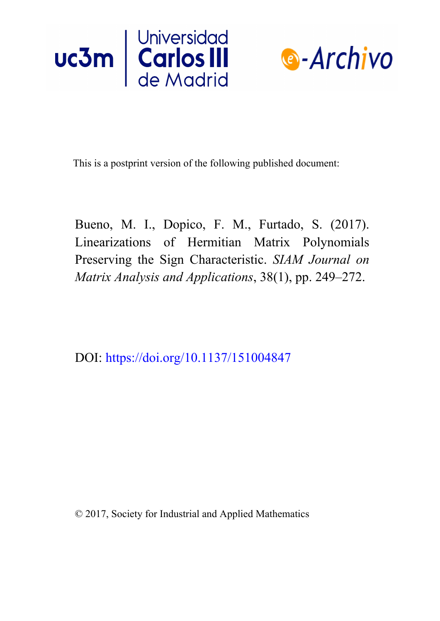



This is a postprint version of the following published document:

Bueno, M. I., Dopico, F. M., Furtado, S. (2017). Linearizations of Hermitian Matrix Polynomials Preserving the Sign Characteristic. *SIAM Journal on Matrix Analysis and Applications*, 38(1), pp. 249–272.

DOI: <https://doi.org/10.1137/151004847>

© 2017, Society for Industrial and Applied Mathematics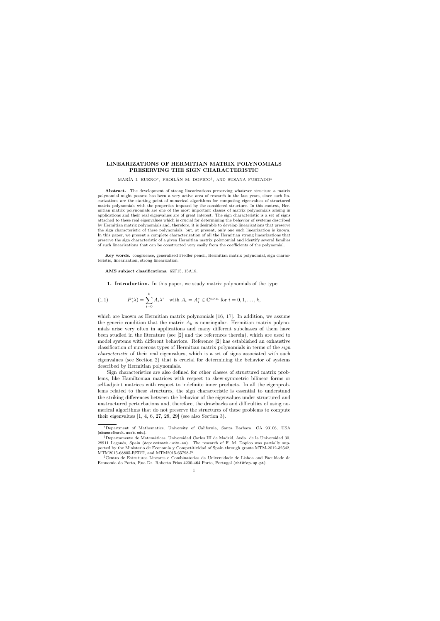## LINEARIZATIONS OF HERMITIAN MATRIX POLYNOMIALS PRESERVING THE SIGN CHARACTERISTIC

MARÍA I. BUENO∗, FROILÁN M. DOPICO† , AND SUSANA FURTADO‡

Abstract. The development of strong linearizations preserving whatever structure a matrix polynomial might possess has been a very active area of research in the last years, since such linearizations are the starting point of numerical algorithms for computing eigenvalues of structured matrix polynomials with the properties imposed by the considered structure. In this context, Hermitian matrix polynomials are one of the most important classes of matrix polynomials arising in applications and their real eigenvalues are of great interest. The sign characteristic is a set of signs attached to these real eigenvalues which is crucial for determining the behavior of systems described by Hermitian matrix polynomials and, therefore, it is desirable to develop linearizations that preserve the sign characteristic of these polynomials, but, at present, only one such linearization is known. In this paper, we present a complete characterization of all the Hermitian strong linearizations that preserve the sign characteristic of a given Hermitian matrix polynomial and identify several families of such linearizations that can be constructed very easily from the coefficients of the polynomial.

Key words. congruence, generalized Fiedler pencil, Hermitian matrix polynomial, sign characteristic, linearization, strong linearization.

AMS subject classifications. 65F15, 15A18.

1. Introduction. In this paper, we study matrix polynomials of the type

(1.1) 
$$
P(\lambda) = \sum_{i=0}^{k} A_i \lambda^i \quad \text{with } A_i = A_i^* \in \mathbb{C}^{n \times n} \text{ for } i = 0, 1, \dots, k,
$$

which are known as Hermitian matrix polynomials [16, 17]. In addition, we assume the generic condition that the matrix  $A_k$  is nonsingular. Hermitian matrix polynomials arise very often in applications and many different subclasses of them have been studied in the literature (see [2] and the references therein), which are used to model systems with different behaviors. Reference [2] has established an exhaustive classification of numerous types of Hermitian matrix polynomials in terms of the sign characteristic of their real eigenvalues, which is a set of signs associated with such eigenvalues (see Section 2) that is crucial for determining the behavior of systems described by Hermitian polynomials.

Sign characteristics are also defined for other classes of structured matrix problems, like Hamiltonian matrices with respect to skew-symmetric bilinear forms or self-adjoint matrices with respect to indefinite inner products. In all the eigenproblems related to these structures, the sign characteristic is essential to understand the striking differences between the behavior of the eigenvalues under structured and unstructured perturbations and, therefore, the drawbacks and difficulties of using numerical algorithms that do not preserve the structures of these problems to compute their eigenvalues  $[1, 4, 6, 27, 28, 29]$  (see also Section 3).

<sup>∗</sup>Department of Mathematics, University of California, Santa Barbara, CA 93106, USA (mbueno@math.ucsb.edu).

<sup>†</sup>Departamento de Matemáticas, Universidad Carlos III de Madrid, Avda. de la Universidad 30, 28911 Leganés, Spain (dopico@math.uc3m.es). The research of F. M. Dopico was partially supported by the Ministerio de Economía y Competitividad of Spain through grants MTM-2012-32542, MTM2015-68805-REDT, and MTM2015-65798-P.

<sup>‡</sup>Centro de Estruturas Lineares e Combinatorias da Universidade de Lisboa and Faculdade de Economia do Porto, Rua Dr. Roberto Frias 4200-464 Porto, Portugal (sbf@fep.up.pt).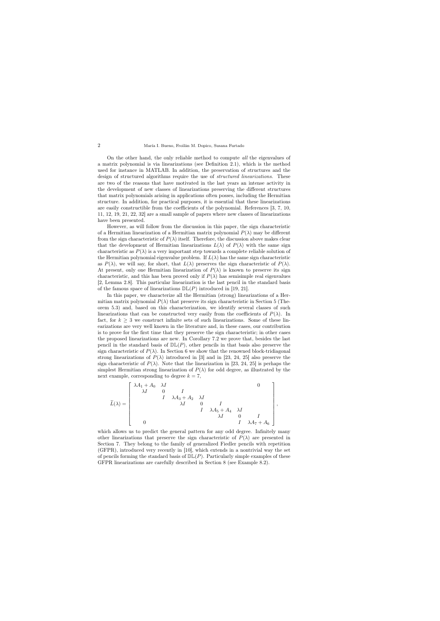On the other hand, the only reliable method to compute all the eigenvalues of a matrix polynomial is via linearizations (see Definition 2.1), which is the method used for instance in MATLAB. In addition, the preservation of structures and the design of structured algorithms require the use of *structured linearizations*. These are two of the reasons that have motivated in the last years an intense activity in the development of new classes of linearizations preserving the different structures that matrix polynomials arising in applications often posses, including the Hermitian structure. In addition, for practical purposes, it is essential that these linearizations are easily constructible from the coefficients of the polynomial. References [3, 7, 10, 11, 12, 19, 21, 22, 32] are a small sample of papers where new classes of linearizations have been presented.

However, as will follow from the discussion in this paper, the sign characteristic of a Hermitian linearization of a Hermitian matrix polynomial  $P(\lambda)$  may be different from the sign characteristic of  $P(\lambda)$  itself. Therefore, the discussion above makes clear that the development of Hermitian linearizations  $L(\lambda)$  of  $P(\lambda)$  with the same sign characteristic as  $P(\lambda)$  is a very important step towards a complete reliable solution of the Hermitian polynomial eigenvalue problem. If  $L(\lambda)$  has the same sign characteristic as  $P(\lambda)$ , we will say, for short, that  $L(\lambda)$  preserves the sign characteristic of  $P(\lambda)$ . At present, only one Hermitian linearization of  $P(\lambda)$  is known to preserve its sign characteristic, and this has been proved only if  $P(\lambda)$  has semisimple real eigenvalues [2, Lemma 2.8]. This particular linearization is the last pencil in the standard basis of the famous space of linearizations  $D\mathbb{L}(P)$  introduced in [19, 21].

In this paper, we characterize all the Hermitian (strong) linearizations of a Hermitian matrix polynomial  $P(\lambda)$  that preserve its sign characteristic in Section 5 (Theorem 5.3) and, based on this characterization, we identify several classes of such linearizations that can be constructed very easily from the coefficients of  $P(\lambda)$ . In fact, for  $k \geq 3$  we construct infinite sets of such linearizations. Some of these linearizations are very well known in the literature and, in these cases, our contribution is to prove for the first time that they preserve the sign characteristic; in other cases the proposed linearizations are new. In Corollary 7.2 we prove that, besides the last pencil in the standard basis of  $\mathbb{DL}(P)$ , other pencils in that basis also preserve the sign characteristic of  $P(\lambda)$ . In Section 6 we show that the renowned block-tridiagonal strong linearizations of  $P(\lambda)$  introduced in [3] and in [23, 24, 25] also preserve the sign characteristic of  $P(\lambda)$ . Note that the linearization in [23, 24, 25] is perhaps the simplest Hermitian strong linearization of  $P(\lambda)$  for odd degree, as illustrated by the next example, corresponding to degree  $k = 7$ ,

$$
\widetilde{L}(\lambda) = \begin{bmatrix}\n\lambda A_1 + A_0 & \lambda I & & & & & 0 \\
\lambda I & 0 & I & & & & & \\
& I & \lambda A_3 + A_2 & \lambda I & & & & \\
& & \lambda I & 0 & I & & \\
& & & I & \lambda A_5 + A_4 & \lambda I & & \\
& & & & \lambda I & 0 & I & \\
& & & & & I & \lambda A_7 + A_6\n\end{bmatrix},
$$

which allows us to predict the general pattern for any odd degree. Infinitely many other linearizations that preserve the sign characteristic of  $P(\lambda)$  are presented in Section 7. They belong to the family of generalized Fiedler pencils with repetition (GFPR), introduced very recently in [10], which extends in a nontrivial way the set of pencils forming the standard basis of  $D\mathbb{L}(P)$ . Particularly simple examples of these GFPR linearizations are carefully described in Section 8 (see Example 8.2).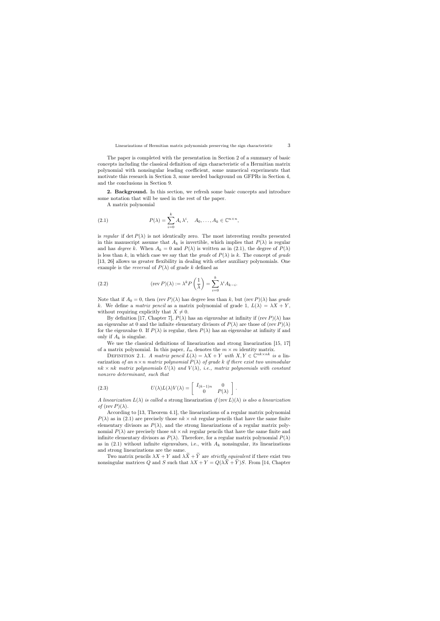The paper is completed with the presentation in Section 2 of a summary of basic concepts including the classical definition of sign characteristic of a Hermitian matrix polynomial with nonsingular leading coefficient, some numerical experiments that motivate this research in Section 3, some needed background on GFPRs in Section 4, and the conclusions in Section 9.

2. Background. In this section, we refresh some basic concepts and introduce some notation that will be used in the rest of the paper.

A matrix polynomial

(2.1) 
$$
P(\lambda) = \sum_{i=0}^{k} A_i \lambda^i, \quad A_0, \dots, A_k \in \mathbb{C}^{n \times n},
$$

is regular if det  $P(\lambda)$  is not identically zero. The most interesting results presented in this manuscript assume that  $A_k$  is invertible, which implies that  $P(\lambda)$  is regular and has *degree* k. When  $A_k = 0$  and  $P(\lambda)$  is written as in (2.1), the degree of  $P(\lambda)$ is less than k, in which case we say that the grade of  $P(\lambda)$  is k. The concept of grade [13, 26] allows us greater flexibility in dealing with other auxiliary polynomials. One example is the *reversal* of  $P(\lambda)$  of grade k defined as

(2.2) 
$$
(\text{rev } P)(\lambda) := \lambda^k P\left(\frac{1}{\lambda}\right) = \sum_{i=0}^k \lambda^i A_{k-i}.
$$

Note that if  $A_0 = 0$ , then (rev  $P(\lambda)$ ) has degree less than k, but (rev  $P(\lambda)$ ) has grade k. We define a matrix pencil as a matrix polynomial of grade 1,  $L(\lambda) = \lambda X + Y$ , without requiring explicitly that  $X \neq 0$ .

By definition [17, Chapter 7],  $P(\lambda)$  has an eigenvalue at infinity if (rev  $P(\lambda)$  has an eigenvalue at 0 and the infinite elementary divisors of  $P(\lambda)$  are those of (rev  $P(\lambda)$ ) for the eigenvalue 0. If  $P(\lambda)$  is regular, then  $P(\lambda)$  has an eigenvalue at infinity if and only if  $A_k$  is singular.

We use the classical definitions of linearization and strong linearization [15, 17] of a matrix polynomial. In this paper,  $I_m$  denotes the  $m \times m$  identity matrix.

DEFINITION 2.1. A matrix pencil  $L(\lambda) = \lambda X + Y$  with  $X, Y \in \mathbb{C}^{nk \times nk}$  is a linearization of an  $n \times n$  matrix polynomial  $P(\lambda)$  of grade k if there exist two unimodular  $nk \times nk$  matrix polynomials  $U(\lambda)$  and  $V(\lambda)$ , i.e., matrix polynomials with constant nonzero determinant, such that

(2.3) 
$$
U(\lambda)L(\lambda)V(\lambda) = \begin{bmatrix} I_{(k-1)n} & 0 \\ 0 & P(\lambda) \end{bmatrix}.
$$

A linearization  $L(\lambda)$  is called a strong linearization if (rev  $L(\lambda)$  is also a linearization of  $(\text{rev } P)(\lambda)$ .

According to [13, Theorem 4.1], the linearizations of a regular matrix polynomial  $P(\lambda)$  as in (2.1) are precisely those  $nk \times nk$  regular pencils that have the same finite elementary divisors as  $P(\lambda)$ , and the strong linearizations of a regular matrix polynomial  $P(\lambda)$  are precisely those  $nk \times nk$  regular pencils that have the same finite and infinite elementary divisors as  $P(\lambda)$ . Therefore, for a regular matrix polynomial  $P(\lambda)$ as in  $(2.1)$  without infinite eigenvalues, i.e., with  $A_k$  nonsingular, its linearizations and strong linearizations are the same.

Two matrix pencils  $\lambda X + Y$  and  $\lambda \widetilde{X} + \widetilde{Y}$  are *strictly equivalent* if there exist two nonsingular matrices Q and S such that  $\lambda X + Y = Q(\lambda \overline{X} + \overline{Y})S$ . From [14, Chapter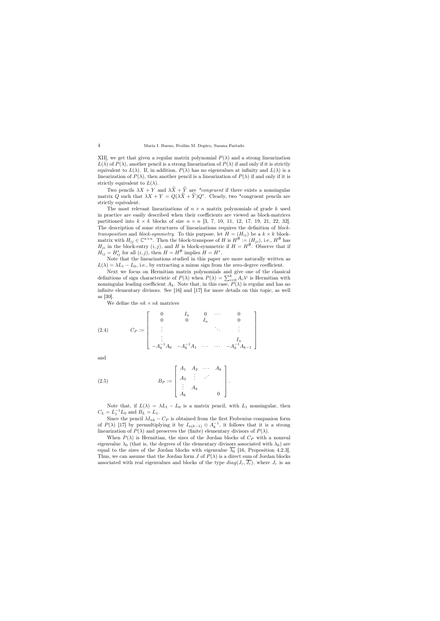XII], we get that given a regular matrix polynomial  $P(\lambda)$  and a strong linearization  $L(\lambda)$  of  $P(\lambda)$ , another pencil is a strong linearization of  $P(\lambda)$  if and only if it is strictly equivalent to  $L(\lambda)$ . If, in addition,  $P(\lambda)$  has no eigenvalues at infinity and  $L(\lambda)$  is a linearization of  $P(\lambda)$ , then another pencil is a linearization of  $P(\lambda)$  if and only if it is strictly equivalent to  $L(\lambda)$ .

Two pencils  $\lambda X + Y$  and  $\lambda \widetilde{X} + \widetilde{Y}$  are \*congruent if there exists a nonsingular matrix Q such that  $\lambda X + Y = Q(\lambda \overline{X} + \overline{Y})Q^*$ . Clearly, two \*congruent pencils are strictly equivalent.

The most relevant linearizations of  $n \times n$  matrix polynomials of grade k used in practice are easily described when their coefficients are viewed as block-matrices partitioned into  $k \times k$  blocks of size  $n \times n$  [3, 7, 10, 11, 12, 17, 19, 21, 22, 32]. The description of some structures of linearizations requires the definition of block*transposition* and *block-symmetry*. To this purpose, let  $H = (H_{ij})$  be a  $k \times k$  blockmatrix with  $H_{ij} \in \mathbb{C}^{n \times n}$ . Then the block-transpose of H is  $H^{\mathcal{B}} := (H_{ji})$ , i.e.,  $H^{\mathcal{B}}$  has  $H_{ji}$  in the block-entry  $(i, j)$ , and H is block-symmetric if  $H = H^{\mathcal{B}}$ . Observe that if  $H_{ij} = H_{ij}^*$  for all  $(i, j)$ , then  $H = H^*$  implies  $H = H^*$ .

Note that the linearizations studied in this paper are more naturally written as  $L(\lambda) = \lambda L_1 - L_0$ , i.e., by extracting a minus sign from the zero-degree coefficient.

Next we focus on Hermitian matrix polynomials and give one of the classical definitions of sign characteristic of  $P(\lambda)$  when  $P(\lambda) = \sum_{i=0}^{k} A_i \lambda^i$  is Hermitian with nonsingular leading coefficient  $A_k$ . Note that, in this case,  $P(\lambda)$  is regular and has no infinite elementary divisors. See [16] and [17] for more details on this topic, as well as [30].

We define the  $nk \times nk$  matrices

(2.4) 
$$
C_P := \begin{bmatrix} 0 & I_n & 0 & \cdots & 0 \\ 0 & 0 & I_n & & 0 \\ \vdots & & & \ddots & \vdots \\ -A_k^{-1}A_0 & -A_k^{-1}A_1 & \cdots & \cdots & -A_k^{-1}A_{k-1} \end{bmatrix}
$$

and

(2.5) 
$$
B_P := \begin{bmatrix} A_1 & A_2 & \cdots & A_k \\ A_2 & \vdots & \cdots & \vdots \\ A_k & & & 0 \end{bmatrix}
$$

Note that, if  $L(\lambda) = \lambda L_1 - L_0$  is a matrix pencil, with  $L_1$  nonsingular, then  $C_L = L_1^{-1} L_0$  and  $B_L = L_1$ .

.

Since the pencil  $\lambda I_{nk} - C_P$  is obtained from the first Frobenius companion form of  $P(\lambda)$  [17] by premultiplying it by  $I_{n(k-1)} \oplus A_k^{-1}$ , it follows that it is a strong linearization of  $P(\lambda)$  and preserves the (finite) elementary divisors of  $P(\lambda)$ .

When  $P(\lambda)$  is Hermitian, the sizes of the Jordan blocks of  $C_P$  with a nonreal eigenvalue  $\lambda_0$  (that is, the degrees of the elementary divisors associated with  $\lambda_0$ ) are equal to the sizes of the Jordan blocks with eigenvalue  $\overline{\lambda_0}$  [16, Proposition 4.2.3]. Thus, we can assume that the Jordan form J of  $P(\lambda)$  is a direct sum of Jordan blocks associated with real eigenvalues and blocks of the type  $diag(J_r, \overline{J_r})$ , where  $J_r$  is an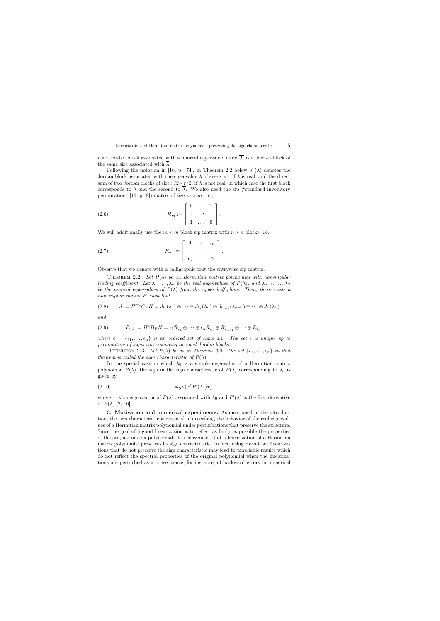$r \times r$  Jordan block associated with a nonreal eigenvalue  $\lambda$  and  $\overline{J_r}$  is a Jordan block of the same size associated with  $\overline{\lambda}$ .

Following the notation in [16, p. 74], in Theorem 2.2 below  $J_r(\lambda)$  denotes the Jordan block associated with the eigenvalue  $\lambda$  of size  $r \times r$  if  $\lambda$  is real, and the direct sum of two Jordan blocks of size  $r/2 \times r/2$ , if  $\lambda$  is not real, in which case the first block corresponds to  $\lambda$  and the second to  $\overline{\lambda}$ . We also need the sip ("standard involutory permutation" [16, p. 8]) matrix of size  $m \times m$ , i.e.,

(2.6) 
$$
\mathcal{R}_m := \left[ \begin{array}{ccc} 0 & \dots & 1 \\ \vdots & \ddots & \vdots \\ 1 & \dots & 0 \end{array} \right].
$$

We will additionally use the  $m \times m$  block-sip matrix with  $n \times n$  blocks, i.e.,

$$
(2.7) \t R_m := \begin{bmatrix} 0 & \dots & I_n \\ \vdots & \ddots & \vdots \\ I_n & \dots & 0 \end{bmatrix}.
$$

Observe that we denote with a calligraphic font the entrywise sip matrix.

THEOREM 2.2. Let  $P(\lambda)$  be an Hermitian matrix polynomial with nonsingular leading coefficient. Let  $\lambda_1, \ldots, \lambda_\alpha$  be the real eigenvalues of  $P(\lambda)$ , and  $\lambda_{\alpha+1}, \ldots, \lambda_\beta$ be the nonreal eigenvalues of  $P(\lambda)$  from the upper half-plane. Then, there exists a nonsingular matrix H such that

$$
(2.8) \qquad J := H^{-1}C_P H = J_{l_1}(\lambda_1) \oplus \cdots \oplus J_{l_\alpha}(\lambda_\alpha) \oplus J_{l_{\alpha+1}}(\lambda_{\alpha+1}) \oplus \cdots \oplus J_\beta(\lambda_\beta)
$$

and

(2.9) 
$$
P_{\epsilon,J} := H^*B_P H = \epsilon_1 \mathcal{R}_{l_1} \oplus \cdots \oplus \epsilon_{\alpha} \mathcal{R}_{l_{\alpha}} \oplus \mathcal{R}_{l_{\alpha+1}} \oplus \cdots \oplus \mathcal{R}_{l_{\beta}},
$$

where  $\epsilon = {\epsilon_1, \ldots, \epsilon_{\alpha}}$  is an ordered set of signs  $\pm 1$ . The set  $\epsilon$  is unique up to permutation of signs corresponding to equal Jordan blocks.

DEFINITION 2.3. Let  $P(\lambda)$  be as in Theorem 2.2. The set  $\{\epsilon_1, \ldots, \epsilon_{\alpha}\}\$ in that theorem is called the sign characteristic of  $P(\lambda)$ .

In the special case in which  $\lambda_0$  is a simple eigenvalue of a Hermitian matrix polynomial  $P(\lambda)$ , the sign in the sign characteristic of  $P(\lambda)$  corresponding to  $\lambda_0$  is given by

$$
(2.10) \t\t\t sign(x^*P'(\lambda_0)x),
$$

where x is an eigenvector of  $P(\lambda)$  associated with  $\lambda_0$  and  $P'(\lambda)$  is the first derivative of  $P(\lambda)$  [2, 16].

3. Motivation and numerical experiments. As mentioned in the introduction, the sign characteristic is essential in describing the behavior of the real eigenvalues of a Hermitian matrix polynomial under perturbations that preserve the structure. Since the goal of a good linearization is to reflect as fairly as possible the properties of the original matrix polynomial, it is convenient that a linearization of a Hermitian matrix polynomial preserves its sign characteristic. In fact, using Hermitian linearizations that do not preserve the sign characteristic may lead to unreliable results which do not reflect the spectral properties of the original polynomial when the linearizations are perturbed as a consequence, for instance, of backward errors in numerical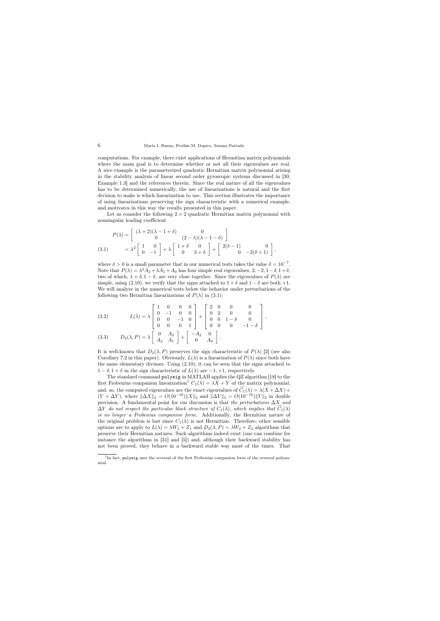computations. For example, there exist applications of Hermitian matrix polynomials where the main goal is to determine whether or not all their eigenvalues are real. A nice example is the parameterized quadratic Hermitian matrix polynomial arising in the stability analysis of linear second order gyroscopic systems discussed in [30, Example 1.3] and the references therein. Since the real nature of all the eigenvalues has to be determined numerically, the use of linearizations is natural and the first decision to make is which linearization to use. This section illustrates the importance of using linearizations preserving the sign characteristic with a numerical example, and motivates in this way the results presented in this paper.

Let us consider the following  $2 \times 2$  quadratic Hermitian matrix polynomial with nonsingular leading coefficient

$$
P(\lambda) = \begin{bmatrix} (\lambda + 2)(\lambda - 1 + \delta) & 0 \\ 0 & (2 - \lambda)(\lambda - 1 - \delta) \end{bmatrix}
$$
  
(3.1) 
$$
= \lambda^2 \begin{bmatrix} 1 & 0 \\ 0 & -1 \end{bmatrix} + \lambda \begin{bmatrix} 1 + \delta & 0 \\ 0 & 3 + \delta \end{bmatrix} + \begin{bmatrix} 2(\delta - 1) & 0 \\ 0 & -2(\delta + 1) \end{bmatrix},
$$

where  $\delta > 0$  is a small parameter that in our numerical tests takes the value  $\delta = 10^{-7}$ . Note that  $P(\lambda) = \lambda^2 A_2 + \lambda A_1 + A_0$  has four simple real eigenvalues,  $2, -2, 1-\delta, 1+\delta,$ two of which,  $1 + \delta$ ,  $1 - \delta$ , are very close together. Since the eigenvalues of  $P(\lambda)$  are simple, using (2.10), we verify that the signs attached to  $1 + \delta$  and  $1 - \delta$  are both +1. We will analyze in the numerical tests below the behavior under perturbations of the following two Hermitian linearizations of  $P(\lambda)$  in (3.1):

(3.2) 
$$
L(\lambda) = \lambda \begin{bmatrix} 1 & 0 & 0 & 0 \\ 0 & -1 & 0 & 0 \\ 0 & 0 & -1 & 0 \\ 0 & 0 & 0 & 1 \end{bmatrix} + \begin{bmatrix} 2 & 0 & 0 & 0 \\ 0 & 2 & 0 & 0 \\ 0 & 0 & 1 - \delta & 0 \\ 0 & 0 & 0 & -1 - \delta \end{bmatrix},
$$
  
(3.2) 
$$
D_{\nu}(\lambda, P) = \lambda \begin{bmatrix} 0 & A_2 \\ 0 & A_2 \end{bmatrix} + \begin{bmatrix} -A_2 & 0 \\ 0 & 0 \end{bmatrix}
$$

(3.3) 
$$
D_2(\lambda, P) = \lambda \begin{bmatrix} 0 & A_2 \\ A_2 & A_1 \end{bmatrix} + \begin{bmatrix} -A_2 & 0 \\ 0 & A_0 \end{bmatrix}.
$$

It is well-known that  $D_2(\lambda, P)$  preserves the sign characteristic of  $P(\lambda)$  [2] (see also Corollary 7.2 in this paper). Obviously,  $L(\lambda)$  is a linearization of  $P(\lambda)$  since both have the same elementary divisors. Using (2.10), it can be seen that the signs attached to  $1 - \delta$ ,  $1 + \delta$  in the sign characteristic of  $L(\lambda)$  are  $-1, +1$ , respectively.

The standard command polyeig in MATLAB applies the QZ algorithm [18] to the first Frobenius companion linearization<sup>1</sup>  $C_1(\lambda) = \lambda X + Y$  of the matrix polynomial, and, so, the computed eigenvalues are the exact eigenvalues of  $\widetilde{C}_1(\lambda) = \lambda(X + \Delta X) + \cdots$  $(Y + \Delta Y)$ , where  $\|\Delta X\|_2 = O(10^{-16})\|X\|_2$  and  $\|\Delta Y\|_2 = O(10^{-16})\|Y\|_2$  in double precision. A fundamental point for our discussion is that the perturbations  $\Delta X$  and  $\Delta Y$  do not respect the particular block structure of  $C_1(\lambda)$ , which implies that  $C_1(\lambda)$ is no longer a Frobenius companion form. Additionally, the Hermitian nature of the original problem is lost since  $C_1(\lambda)$  is not Hermitian. Therefore, other sensible options are to apply to  $L(\lambda) = \lambda W_1 + Z_1$  and  $D_2(\lambda, P) = \lambda W_2 + Z_2$  algorithms that preserve their Hermitian natures. Such algorithms indeed exist (one can combine for instance the algorithms in [31] and [5]) and, although their backward stability has not been proved, they behave in a backward stable way most of the times. That

<sup>&</sup>lt;sup>1</sup>In fact, polyeig uses the reversal of the first Frobenius companion form of the reversal polynomial.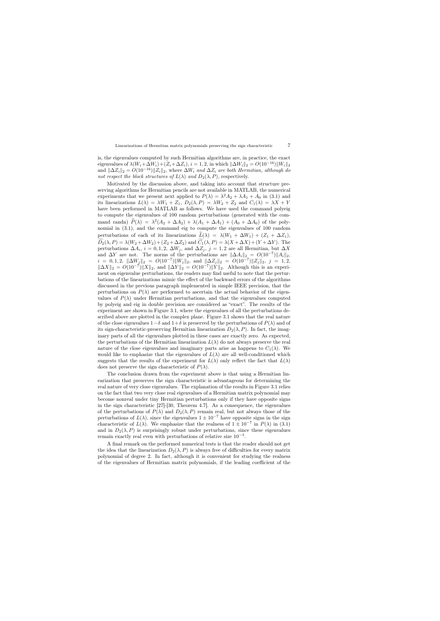is, the eigenvalues computed by such Hermitian algorithms are, in practice, the exact eigenvalues of  $\lambda(W_i+\Delta W_i)+(Z_i+\Delta Z_i), i=1,2$ , in which  $\|\Delta W_i\|_2 = O(10^{-16})\|W_i\|_2$ and  $\|\Delta Z_i\|_2 = O(10^{-16})\|Z_i\|_2$ , where  $\Delta W_i$  and  $\Delta Z_i$  are both Hermitian, although do not respect the block structures of  $L(\lambda)$  and  $D_2(\lambda, P)$ , respectively.

Motivated by the discussion above, and taking into account that structure preserving algorithms for Hermitian pencils are not available in MATLAB, the numerical experiments that we present next applied to  $P(\lambda) = \lambda^2 A_2 + \lambda A_1 + A_0$  in (3.1) and its linearizations  $L(\lambda) = \lambda W_1 + Z_1$ ,  $D_2(\lambda, P) = \lambda W_2 + Z_2$  and  $C_1(\lambda) = \lambda X + Y_1$ have been performed in MATLAB as follows. We have used the command polyeig to compute the eigenvalues of 100 random perturbations (generated with the command randn)  $P(\lambda) = \lambda^2 (A_2 + \Delta A_2) + \lambda (A_1 + \Delta A_1) + (A_0 + \Delta A_0)$  of the polynomial in (3.1), and the command eig to compute the eigenvalues of 100 random perturbations of each of its linearizations  $\widetilde{L}(\lambda) = \lambda(W_1 + \Delta W_1) + (Z_1 + \Delta Z_1),$  $\widetilde{D}_2(\lambda, P) = \lambda (W_2 + \Delta W_2) + (Z_2 + \Delta Z_2)$  and  $\widetilde{C}_1(\lambda, P) = \lambda (X + \Delta X) + (Y + \Delta Y)$ . The perturbations  $\Delta A_i$ ,  $i = 0, 1, 2, \Delta W_j$ , and  $\Delta Z_j$ ,  $j = 1, 2$  are all Hermitian, but  $\Delta X$ and  $\Delta Y$  are not. The norms of the perturbations are  $\|\Delta A_i\|_2 = O(10^{-7}) \|A_i\|_2$ ,  $i = 0, 1, 2, \ \|\Delta W_j\|_2 = O(10^{-7})\|W_j\|_2$ , and  $\|\Delta Z_j\|_2 = O(10^{-7})\|Z_j\|_2$ ,  $j = 1, 2,$  $\|\Delta X\|_2 = O(10^{-7}) \|X\|_2$ , and  $\|\Delta Y\|_2 = O(10^{-7}) \|Y\|_2$ . Although this is an experiment on eigenvalue perturbations, the readers may find useful to note that the perturbations of the linearizations mimic the effect of the backward errors of the algorithms discussed in the previous paragraph implemented in simple IEEE precision, that the perturbations on  $P(\lambda)$  are performed to ascertain the actual behavior of the eigenvalues of  $P(\lambda)$  under Hermitian perturbations, and that the eigenvalues computed by polyeig and eig in double precision are considered as "exact". The results of the experiment are shown in Figure 3.1, where the eigenvalues of all the perturbations described above are plotted in the complex plane. Figure 3.1 shows that the real nature of the close eigenvalues  $1-\delta$  and  $1+\delta$  is preserved by the perturbations of  $P(\lambda)$  and of its sign-characteristic-preserving Hermitian linearization  $D_2(\lambda, P)$ . In fact, the imaginary parts of all the eigenvalues plotted in these cases are exactly zero. As expected, the perturbations of the Hermitian linearization  $L(\lambda)$  do not always preserve the real nature of the close eigenvalues and imaginary parts arise as happens to  $C_1(\lambda)$ . We would like to emphasize that the eigenvalues of  $L(\lambda)$  are all well-conditioned which suggests that the results of the experiment for  $L(\lambda)$  only reflect the fact that  $L(\lambda)$ does not preserve the sign characteristic of  $P(\lambda)$ .

The conclusion drawn from the experiment above is that using a Hermitian linearization that preserves the sign characteristic is advantageous for determining the real nature of very close eigenvalues. The explanation of the results in Figure 3.1 relies on the fact that two very close real eigenvalues of a Hermitian matrix polynomial may become nonreal under tiny Hermitian perturbations only if they have opposite signs in the sign characteristic [27]-[30, Theorem 4.7]. As a consequence, the eigenvalues of the perturbations of  $P(\lambda)$  and  $D_2(\lambda, P)$  remain real, but not always those of the perturbations of  $L(\lambda)$ , since the eigenvalues  $1 \pm 10^{-7}$  have opposite signs in the sign characteristic of  $L(\lambda)$ . We emphasize that the realness of  $1 \pm 10^{-7}$  in  $P(\lambda)$  in (3.1) and in  $D_2(\lambda, P)$  is surprisingly robust under perturbations, since these eigenvalues remain exactly real even with perturbations of relative size 10<sup>−</sup><sup>3</sup> .

A final remark on the performed numerical tests is that the reader should not get the idea that the linearization  $D_2(\lambda, P)$  is always free of difficulties for every matrix polynomial of degree 2. In fact, although it is convenient for studying the realness of the eigenvalues of Hermitian matrix polynomials, if the leading coefficient of the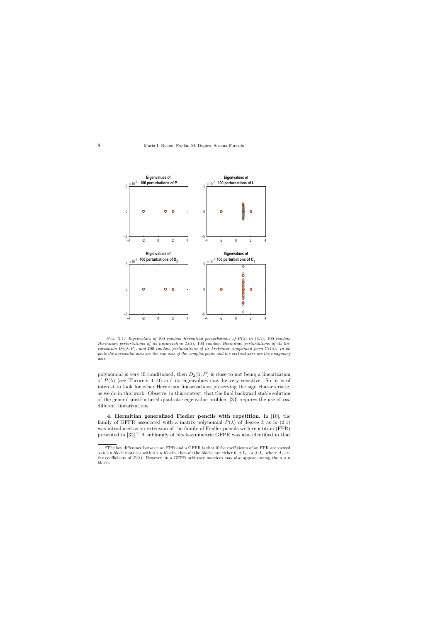

Fig. 3.1. Eigenvalues of 100 random Hermitian perturbations of  $P(\lambda)$  in (3.1), 100 random Hermitian perturbations of its linearization  $L(\lambda)$ , 100 random Hermitian perturbations of its linearization  $D_2(\lambda, P)$ , and 100 random perturbations of its Frobenius companion form  $C_1(\lambda)$ . In all plots the horizontal axes are the real axis of the complex plane and the vertical axes are the imaginary axis.

polynomial is very ill-conditioned, then  $D_2(\lambda, P)$  is close to not being a linearization of  $P(\lambda)$  (see Theorem 4.10) and its eigenvalues may be very sensitive. So, it is of interest to look for other Hermitian linearizations preserving the sign characteristic, as we do in this work. Observe, in this context, that the final backward stable solution of the general unstructured quadratic eigenvalue problem [33] requires the use of two different linearizations.

4. Hermitian generalized Fiedler pencils with repetition. In [10], the family of GFPR associated with a matrix polynomial  $P(\lambda)$  of degree k as in (2.1) was introduced as an extension of the family of Fiedler pencils with repetition (FPR) presented in [32].<sup>2</sup> A subfamily of block-symmetric GFPR was also identified in that

 $^2\rm{The}$  key difference between an FPR and a GFPR is that if the coefficients of an FPR are viewed as  $k \times k$  block matrices with  $n \times n$  blocks, then all the blocks are either  $0, \pm I_n$ , or  $\pm A_i$ , where  $A_i$  are the coefficients of  $P(\lambda)$ . However, in a GFPR arbitrary matrices may also appear among the  $n \times n$ blocks.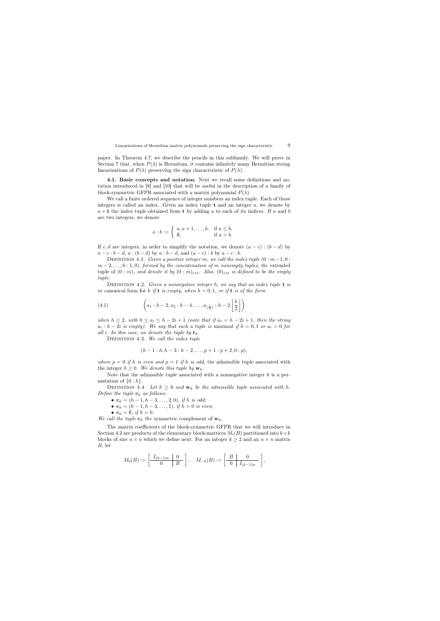paper. In Theorem 4.7, we describe the pencils in this subfamily. We will prove in Section 7 that, when  $P(\lambda)$  is Hermitian, it contains infinitely many Hermitian strong linearizations of  $P(\lambda)$  preserving the sign characteristic of  $P(\lambda)$ .

4.1. Basic concepts and notation. Next we recall some definitions and notation introduced in [8] and [10] that will be useful in the description of a family of block-symmetric GFPR associated with a matrix polynomial  $P(\lambda)$ .

We call a finite ordered sequence of integer numbers an index tuple. Each of these integers is called an index. Given an index tuple  $t$  and an integer  $a$ , we denote by  $a + t$  the index tuple obtained from t by adding a to each of its indices. If a and b are two integers, we denote

$$
a:b := \left\{ \begin{array}{ll} a, a+1, \dots, b, & \text{if } a \leq b, \\ \emptyset, & \text{if } a > b. \end{array} \right.
$$

If c, d are integers, in order to simplify the notation, we denote  $(a - c) : (b - d)$  by  $a - c : b - d, a : (b - d)$  by  $a : b - d,$  and  $(a - c) : b$  by  $a - c : b$ .

DEFINITION 4.1. Given a positive integer m, we call the index tuple  $(0 : m-1, 0 :$  $m-2,\ldots,0:1,0$ , formed by the concatenation of m nonempty tuples, the extended tuple of  $(0 : m)$ , and denote it by  $(0 : m)_{ext}$ . Also,  $(0)_{ext}$  is defined to be the empty tuple.

DEFINITION 4.2. Given a nonnegative integer h, we say that an index tuple  $t$  is in canonical form for h if t is empty, when  $h = 0, 1$ , or if t is of the form

(4.1) 
$$
\left(a_1 : h-2, a_2 : h-4, \ldots, a_{\lfloor \frac{h}{2} \rfloor} : h-2\left\lfloor \frac{h}{2} \right\rfloor\right)
$$

when  $h \geq 2$ , with  $0 \leq a_i \leq h - 2i + 1$  (note that if  $a_i = h - 2i + 1$ , then the string  $a_i : h-2i$  is empty). We say that such a tuple is maximal if  $h = 0, 1$  or  $a_i = 0$  for all i. In this case, we denote the tuple by  $t_h$ .

DEFINITION 4.3. We call the index tuple

$$
(h-1: h, h-3: h-2, \ldots, p+1: p+2, 0: p),
$$

where  $p = 0$  if h is even and  $p = 1$  if h is odd, the admissible tuple associated with the integer  $h \geq 0$ . We denote this tuple by  $\mathbf{w}_h$ .

Note that the admissible tuple associated with a nonnegative integer  $h$  is a permutation of  $\{0 : h\}.$ 

DEFINITION 4.4. Let  $h \geq 0$  and  $\mathbf{w}_h$  be the admissible tuple associated with h. Define the tuple  $\mathbf{c}_h$  as follows:

- $c_h = (h-1, h-3, \ldots, 2, 0)$ , if h is odd;
- $$
- $\mathbf{c}_h = \emptyset$ , if  $h = 0$ .

We call the tuple  $\mathbf{c}_h$  the symmetric complement of  $\mathbf{w}_h$ .

The matrix coefficients of the block-symmetric GFPR that we will introduce in Section 4.2 are products of the elementary block-matrices  $M_i(B)$  partitioned into  $k \times k$ blocks of size  $n \times n$  which we define next. For an integer  $k \geq 2$  and an  $n \times n$  matrix B, let

$$
M_0(B):=\left[\begin{array}{c|c}I_{(k-1)n} & 0 \\ \hline 0 & B\end{array}\right],\quad M_{-k}(B):=\left[\begin{array}{c|c} B & 0 \\ \hline 0 & I_{(k-1)n}\end{array}\right],
$$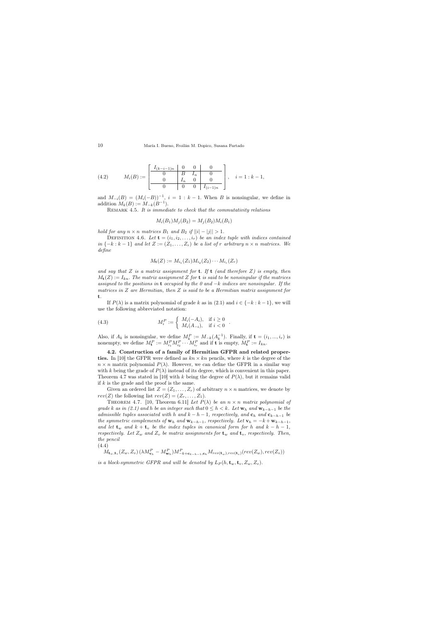(4.2) 
$$
M_i(B) := \begin{bmatrix} I_{(k-i-1)n} & 0 & 0 & 0 \\ 0 & B & I_n & 0 \\ 0 & I_n & 0 & 0 \\ \hline 0 & 0 & 0 & I_{(i-1)n} \end{bmatrix}, \quad i = 1 : k - 1,
$$

and  $M_{-i}(B) = (M_i(-B))^{-1}$ ,  $i = 1 : k - 1$ . When B is nonsingular, we define in addition  $M_k(B) := M_{-k}(B^{-1}).$ 

REMARK 4.5. It is immediate to check that the commutativity relations

$$
M_i(B_1)M_j(B_2) = M_j(B_2)M_i(B_1)
$$

hold for any  $n \times n$  matrices  $B_1$  and  $B_2$  if  $||i| - |j|| > 1$ .

DEFINITION 4.6. Let  $\mathbf{t} = (i_1, i_2, \dots, i_r)$  be an index tuple with indices contained in  $\{-k : k-1\}$  and let  $Z := (Z_1, \ldots, Z_r)$  be a list of r arbitrary  $n \times n$  matrices. We define

$$
M_{\mathbf{t}}(Z) := M_{i_1}(Z_1)M_{i_2}(Z_2)\cdots M_{i_r}(Z_r)
$$

and say that Z is a matrix assignment for **t**. If **t** (and therefore Z) is empty, then  $M_{\mathbf{t}}(Z) := I_{kn}$ . The matrix assignment Z for  $\mathbf{t}$  is said to be nonsingular if the matrices assigned to the positions in t occupied by the 0 and  $-k$  indices are nonsingular. If the matrices in  $Z$  are Hermitian, then  $Z$  is said to be a Hermitian matrix assignment for t.

If  $P(\lambda)$  is a matrix polynomial of grade k as in (2.1) and  $i \in \{-k : k-1\}$ , we will use the following abbreviated notation:

.

(4.3) 
$$
M_i^P := \begin{cases} M_i(-A_i), & \text{if } i \ge 0\\ M_i(A_{-i}), & \text{if } i < 0 \end{cases}
$$

Also, if  $A_k$  is nonsingular, we define  $M_k^P := M_{-k}(A_k^{-1})$ . Finally, if  $\mathbf{t} = (i_1, ..., i_r)$  is nonempty, we define  $M_{\mathbf{t}}^P := M_{i_1}^P M_{i_2}^P \cdots M_{i_r}^P$  and if  $\mathbf{t}$  is empty,  $M_{\mathbf{t}}^P := I_{kn}$ .

4.2. Construction of a family of Hermitian GFPR and related properties. In [10] the GFPR were defined as  $kn \times kn$  pencils, where k is the degree of the  $n \times n$  matrix polynomial  $P(\lambda)$ . However, we can define the GFPR in a similar way with k being the grade of  $P(\lambda)$  instead of its degree, which is convenient in this paper. Theorem 4.7 was stated in [10] with k being the degree of  $P(\lambda)$ , but it remains valid if  $k$  is the grade and the proof is the same.

Given an ordered list  $Z = (Z_1, \ldots, Z_r)$  of arbitrary  $n \times n$  matrices, we denote by  $rev(Z)$  the following list  $rev(Z) = (Z_r, \ldots, Z_1)$ .

THEOREM 4.7. [10, Theorem 6.11] Let  $P(\lambda)$  be an  $n \times n$  matrix polynomial of grade k as in (2.1) and h be an integer such that  $0 \leq h \lt k$ . Let  $\mathbf{w}_h$  and  $\mathbf{w}_{k-h-1}$  be the admissible tuples associated with h and  $k - h - 1$ , respectively, and  $c_h$  and  $c_{k-h-1}$  be the symmetric complements of  $\mathbf{w}_h$  and  $\mathbf{w}_{k-h-1}$ , respectively. Let  $\mathbf{v}_h = -k + \mathbf{w}_{k-h-1}$ , and let  $\mathbf{t}_w$  and  $k + \mathbf{t}_v$  be the index tuples in canonical form for h and  $k - h - 1$ , respectively. Let  $Z_w$  and  $Z_v$  be matrix assignments for  $\mathbf{t}_w$  and  $\mathbf{t}_v$ , respectively. Then, the pencil

(4.4)

 $\overline{M}_{\mathbf{t}_w,\mathbf{t}_v}(Z_w,Z_v)\left(\lambda M_{\mathbf{v}_h}^P - M_{\mathbf{w}_h}^P\right)\!M_{-k+\mathbf{c}_{k-h-1},\mathbf{c}_h}^P M_{rev(\mathbf{t}_w),rev(\mathbf{t}_v)}(rev(Z_w),rev(Z_v))$ 

is a block-symmetric GFPR and will be denoted by  $L_P(h, \mathbf{t}_w, \mathbf{t}_v, Z_w, Z_v)$ .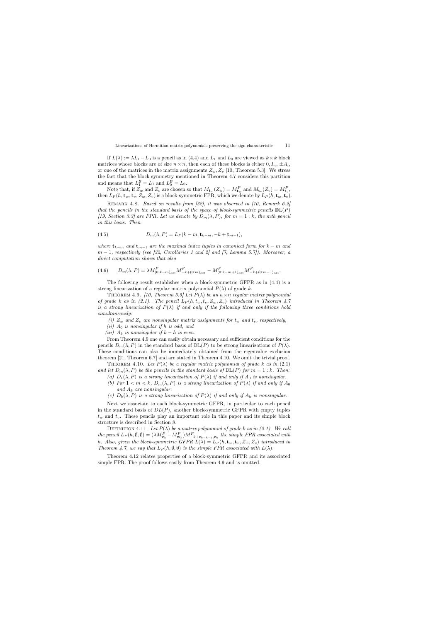If  $L(\lambda) := \lambda L_1 - L_0$  is a pencil as in (4.4) and  $L_1$  and  $L_0$  are viewed as  $k \times k$  block matrices whose blocks are of size  $n \times n$ , then each of these blocks is either  $0, I_n, \pm A_i$ , or one of the matrices in the matrix assignments  $Z_w, Z_v$  [10, Theorem 5.3]. We stress the fact that the block symmetry mentioned in Theorem 4.7 considers this partition and means that  $L_1^{\mathcal{B}} = L_1$  and  $L_0^{\mathcal{B}} = L_0$ .

Note that, if  $Z_w$  and  $Z_v$  are chosen so that  $M_{\mathbf{t}_w}(Z_w) = M_{\mathbf{t}_w}^P$  and  $M_{\mathbf{t}_v}(Z_v) = M_{\mathbf{t}_v}^P$ , then  $L_P(h, \mathbf{t}_w, \mathbf{t}_v, Z_w, Z_v)$  is a block-symmetric FPR, which we denote by  $L_P(h, \mathbf{t}_w, \mathbf{t}_v)$ .

Remark 4.8. Based on results from [32], it was observed in [10, Remark 6.2] that the pencils in the standard basis of the space of block-symmetric pencils  $D\mathbb{L}(P)$ [19, Section 3.3] are FPR. Let us denote by  $D_m(\lambda, P)$ , for  $m = 1 : k$ , the mth pencil in this basis. Then

(4.5) 
$$
D_m(\lambda, P) = L_P(k - m, \mathbf{t}_{k-m}, -k + \mathbf{t}_{m-1}),
$$

where  $\mathbf{t}_{k-m}$  and  $\mathbf{t}_{m-1}$  are the maximal index tuples in canonical form for  $k-m$  and  $m-1$ , respectively (see [32, Corollaries 1 and 2] and [7, Lemma 5.7]). Moreover, a direct computation shows that also

$$
(4.6) \qquad D_m(\lambda, P) = \lambda M_{(0:k-m)_{ext}}^P M_{-k+(0:m)_{ext}}^P - M_{(0:k-m+1)_{ext}}^P M_{-k+(0:m-1)_{ext}}^P.
$$

The following result establishes when a block-symmetric GFPR as in (4.4) is a strong linearization of a regular matrix polynomial  $P(\lambda)$  of grade k.

THEOREM 4.9. [10, Theorem 5.5] Let  $P(\lambda)$  be an  $n \times n$  regular matrix polynomial of grade k as in (2.1). The pencil  $L_P(h, t_w, t_v, Z_w, Z_v)$  introduced in Theorem 4.7 is a strong linearization of  $P(\lambda)$  if and only if the following three conditions hold simultaneously:

- (i)  $Z_w$  and  $Z_v$  are nonsingular matrix assignments for  $t_w$  and  $t_v$ , respectively,
- (ii)  $A_0$  is nonsingular if h is odd, and
- (iii)  $A_k$  is nonsingular if  $k h$  is even.

From Theorem 4.9 one can easily obtain necessary and sufficient conditions for the pencils  $D_m(\lambda, P)$  in the standard basis of  $D\mathbb{L}(P)$  to be strong linearizations of  $P(\lambda)$ . These conditions can also be immediately obtained from the eigenvalue exclusion theorem [21, Theorem 6.7] and are stated in Theorem 4.10. We omit the trivial proof.

THEOREM 4.10. Let  $P(\lambda)$  be a regular matrix polynomial of grade k as in (2.1) and let  $D_m(\lambda, P)$  be the pencils in the standard basis of  $\mathbb{DL}(P)$  for  $m = 1 : k$ . Then:

- (a)  $D_1(\lambda, P)$  is a strong linearization of  $P(\lambda)$  if and only if  $A_0$  is nonsingular.
- (b) For  $1 < m < k$ ,  $D_m(\lambda, P)$  is a strong linearization of  $P(\lambda)$  if and only if  $A_0$ and  $A_k$  are nonsingular.
- (c)  $D_k(\lambda, P)$  is a strong linearization of  $P(\lambda)$  if and only if  $A_k$  is nonsingular.

Next we associate to each block-symmetric GFPR, in particular to each pencil in the standard basis of  $DL(P)$ , another block-symmetric GFPR with empty tuples  $t_w$  and  $t_v$ . These pencils play an important role in this paper and its simple block structure is described in Section 8.

DEFINITION 4.11. Let  $P(\lambda)$  be a matrix polynomial of grade k as in (2.1). We call the pencil  $L_P(h, \emptyset, \emptyset) = (\lambda M_{\mathbf{v}_h}^P - M_{\mathbf{w}_h}^P) M_{-k+\mathbf{c}_{k-h-1}, \mathbf{c}_h}^P$  the simple FPR associated with h. Also, given the block-symmetric GFPR  $L(\lambda) = L_P(h, \mathbf{t}_w, \mathbf{t}_v, Z_w, Z_v)$  introduced in Theorem 4.7, we say that  $L_P(h, \emptyset, \emptyset)$  is the simple FPR associated with  $L(\lambda)$ .

Theorem 4.12 relates properties of a block-symmetric GFPR and its associated simple FPR. The proof follows easily from Theorem 4.9 and is omitted.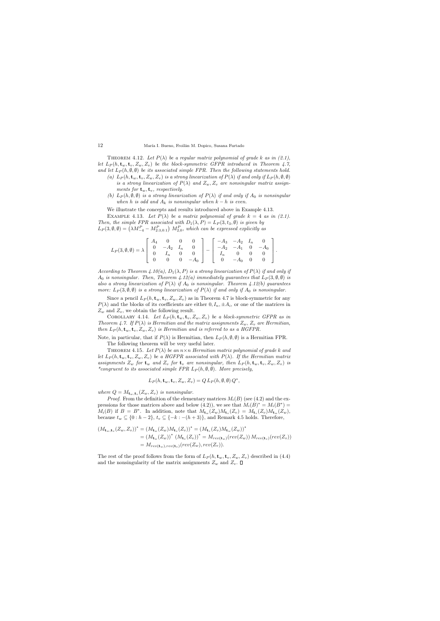THEOREM 4.12. Let  $P(\lambda)$  be a regular matrix polynomial of grade k as in (2.1), let  $L_P(h, \mathbf{t}_w, \mathbf{t}_v, Z_w, Z_v)$  be the block-symmetric GFPR introduced in Theorem 4.7, and let  $L_P(h, \emptyset, \emptyset)$  be its associated simple FPR. Then the following statements hold.

- (a)  $L_P(h, \mathbf{t}_w, \mathbf{t}_v, Z_w, Z_v)$  is a strong linearization of  $P(\lambda)$  if and only if  $L_P(h, \emptyset, \emptyset)$ is a strong linearization of  $P(\lambda)$  and  $Z_w, Z_v$  are nonsingular matrix assignments for  $\mathbf{t}_w, \mathbf{t}_v$ , respectively.
- (b)  $L_P(h, \emptyset, \emptyset)$  is a strong linearization of  $P(\lambda)$  if and only if  $A_0$  is nonsingular when h is odd and  $A_k$  is nonsingular when  $k - h$  is even.

We illustrate the concepts and results introduced above in Example 4.13.

EXAMPLE 4.13. Let  $P(\lambda)$  be a matrix polynomial of grade  $k = 4$  as in (2.1). Then, the simple FPR associated with  $D_1(\lambda, P) = L_P(3, t_3, \emptyset)$  is given by  $L_P(3, \emptyset, \emptyset) = \left(\lambda M_{-4}^P - M_{2:3,0:1}^P\right) M_{2,0}^P$ , which can be expressed explicitly as

$$
L_P(3, \emptyset, \emptyset) = \lambda \left[ \begin{array}{cccc} A_4 & 0 & 0 & 0 \\ 0 & -A_2 & I_n & 0 \\ 0 & I_n & 0 & 0 \\ 0 & 0 & 0 & -A_0 \end{array} \right] - \left[ \begin{array}{cccc} -A_3 & -A_2 & I_n & 0 \\ -A_2 & -A_1 & 0 & -A_0 \\ I_n & 0 & 0 & 0 \\ 0 & -A_0 & 0 & 0 \end{array} \right].
$$

According to Theorem 4.10(a),  $D_1(\lambda, P)$  is a strong linearization of  $P(\lambda)$  if and only if  $A_0$  is nonsingular. Then, Theorem 4.12(a) immediately guarantees that  $L_P (3, \emptyset, \emptyset)$  is also a strong linearization of  $P(\lambda)$  if  $A_0$  is nonsingular. Theorem 4.12(b) guarantees more:  $L_P(3, \emptyset, \emptyset)$  is a strong linearization of  $P(\lambda)$  if and only if  $A_0$  is nonsingular.

Since a pencil  $L_P(h, \mathbf{t}_w, \mathbf{t}_v, Z_w, Z_v)$  as in Theorem 4.7 is block-symmetric for any  $P(\lambda)$  and the blocks of its coefficients are either  $0, I_n, \pm A_i$ , or one of the matrices in  $Z_w$  and  $Z_v$ , we obtain the following result.

COROLLARY 4.14. Let  $L_P(h, \mathbf{t}_w, \mathbf{t}_v, Z_w, Z_v)$  be a block-symmetric GFPR as in Theorem 4.7. If  $P(\lambda)$  is Hermitian and the matrix assignments  $Z_w$ ,  $Z_v$  are Hermitian, then  $L_P(h, \mathbf{t}_w, \mathbf{t}_v, Z_w, Z_v)$  is Hermitian and is referred to as a HGFPR.

Note, in particular, that if  $P(\lambda)$  is Hermitian, then  $L_P(h, \emptyset, \emptyset)$  is a Hermitian FPR. The following theorem will be very useful later.

THEOREM 4.15. Let  $P(\lambda)$  be an  $n \times n$  Hermitian matrix polynomial of grade k and let  $L_P(h, \mathbf{t}_w, \mathbf{t}_v, Z_w, Z_v)$  be a HGFPR associated with  $P(\lambda)$ . If the Hermitian matrix assignments  $Z_w$  for  $\mathbf{t}_w$  and  $Z_v$  for  $\mathbf{t}_v$  are nonsingular, then  $L_P(h, \mathbf{t}_w, \mathbf{t}_v, Z_w, Z_v)$  is \*congruent to its associated simple FPR  $L_P(h, \emptyset, \emptyset)$ . More precisely,

$$
L_P(h, \mathbf{t}_w, \mathbf{t}_v, Z_w, Z_v) = Q L_P(h, \emptyset, \emptyset) Q^*,
$$

where  $Q = M_{\mathbf{t}_w, \mathbf{t}_v}(Z_w, Z_v)$  is nonsingular.

*Proof.* From the definition of the elementary matrices  $M_i(B)$  (see (4.2) and the expressions for those matrices above and below (4.2)), we see that  $M_i(B)^* = M_i(B^*)$  $M_i(B)$  if  $B = B^*$ . In addition, note that  $M_{\mathbf{t}_w}(Z_w)M_{\mathbf{t}_v}(Z_v) = M_{\mathbf{t}_v}(Z_v)M_{\mathbf{t}_w}(Z_w)$ , because  $t_w \subseteq \{0 : h-2\}, t_v \subseteq \{-k : -(h+3)\},$  and Remark 4.5 holds. Therefore,

$$
(M_{\mathbf{t}_w,\mathbf{t}_v}(Z_w,Z_v))^* = (M_{\mathbf{t}_w}(Z_w)M_{\mathbf{t}_v}(Z_v))^* = (M_{\mathbf{t}_v}(Z_v)M_{\mathbf{t}_w}(Z_w))^*
$$
  
\n
$$
= (M_{\mathbf{t}_w}(Z_w))^* (M_{\mathbf{t}_v}(Z_v))^* = M_{rev(\mathbf{t}_w)}(rev(Z_w))M_{rev(\mathbf{t}_v)}(rev(Z_v))
$$
  
\n
$$
= M_{rev(\mathbf{t}_w),rev(\mathbf{t}_v)}(rev(Z_w),rev(Z_v)).
$$

The rest of the proof follows from the form of  $L_P(h, \mathbf{t}_w, \mathbf{t}_v, Z_w, Z_v)$  described in (4.4) and the nonsingularity of the matrix assignments  $Z_w$  and  $Z_v$ .  $\square$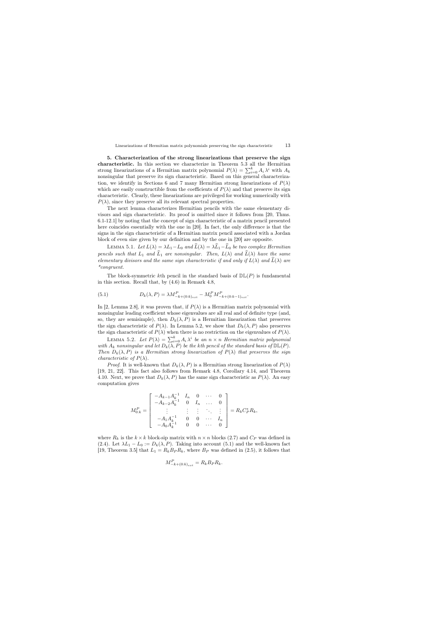5. Characterization of the strong linearizations that preserve the sign characteristic. In this section we characterize in Theorem 5.3 all the Hermitian strong linearizations of a Hermitian matrix polynomial  $P(\lambda) = \sum_{i=0}^{k} A_i \lambda^i$  with  $A_k$ nonsingular that preserve its sign characteristic. Based on this general characterization, we identify in Sections 6 and 7 many Hermitian strong linearizations of  $P(\lambda)$ which are easily constructible from the coefficients of  $P(\lambda)$  and that preserve its sign characteristic. Clearly, these linearizations are privileged for working numerically with  $P(\lambda)$ , since they preserve all its relevant spectral properties.

The next lemma characterizes Hermitian pencils with the same elementary divisors and sign characteristic. Its proof is omitted since it follows from [20, Thms. 6.1-12.1] by noting that the concept of sign characteristic of a matrix pencil presented here coincides essentially with the one in [20]. In fact, the only difference is that the signs in the sign characteristic of a Hermitian matrix pencil associated with a Jordan block of even size given by our definition and by the one in [20] are opposite.

LEMMA 5.1. Let  $L(\lambda) = \lambda L_1 - L_0$  and  $\widehat{L}(\lambda) = \lambda \widehat{L}_1 - \widehat{L}_0$  be two complex Hermitian pencils such that  $L_1$  and  $\widehat{L}_1$  are nonsingular. Then,  $L(\lambda)$  and  $\widehat{L}(\lambda)$  have the same elementary divisors and the same sign characteristic if and only if  $L(\lambda)$  and  $L(\lambda)$  are \*congruent.

The block-symmetric kth pencil in the standard basis of  $D\mathbb{L}(P)$  is fundamental in this section. Recall that, by (4.6) in Remark 4.8,

(5.1) 
$$
D_k(\lambda, P) = \lambda M_{-k+(0:k)_{ext}}^P - M_0^P M_{-k+(0:k-1)_{ext}}^P.
$$

In [2, Lemma 2.8], it was proven that, if  $P(\lambda)$  is a Hermitian matrix polynomial with nonsingular leading coefficient whose eigenvalues are all real and of definite type (and, so, they are semisimple), then  $D_k(\lambda, P)$  is a Hermitian linearization that preserves the sign characteristic of  $P(\lambda)$ . In Lemma 5.2, we show that  $D_k(\lambda, P)$  also preserves the sign characteristic of  $P(\lambda)$  when there is no restriction on the eigenvalues of  $P(\lambda)$ .

LEMMA 5.2. Let  $P(\lambda) = \sum_{i=0}^{k} A_i \lambda^i$  be an  $n \times n$  Hermitian matrix polynomial with  $A_k$  nonsingular and let  $D_k(\lambda, \tilde{P})$  be the kth pencil of the standard basis of  $\mathbb{DL}(P)$ . Then  $D_k(\lambda, P)$  is a Hermitian strong linearization of  $P(\lambda)$  that preserves the sign *characteristic of*  $P(\lambda)$ .

*Proof.* It is well-known that  $D_k(\lambda, P)$  is a Hermitian strong linearization of  $P(\lambda)$ [19, 21, 22]. This fact also follows from Remark 4.8, Corollary 4.14, and Theorem 4.10. Next, we prove that  $D_k(\lambda, P)$  has the same sign characteristic as  $P(\lambda)$ . An easy computation gives

$$
M_{0:k}^{P} = \begin{bmatrix} -A_{k-1}A_k^{-1} & I_n & 0 & \cdots & 0 \\ -A_{k-2}A_k^{-1} & 0 & I_n & \cdots & 0 \\ \vdots & \vdots & \vdots & \ddots & \vdots \\ -A_1A_k^{-1} & 0 & 0 & \cdots & I_n \\ -A_0A_k^{-1} & 0 & 0 & \cdots & 0 \end{bmatrix} = R_k C_P^* R_k,
$$

where  $R_k$  is the  $k \times k$  block-sip matrix with  $n \times n$  blocks (2.7) and  $C_P$  was defined in (2.4). Let  $\lambda L_1 - L_0 := D_k(\lambda, P)$ . Taking into account (5.1) and the well-known fact [19, Theorem 3.5] that  $L_1 = R_k B_P R_k$ , where  $B_P$  was defined in (2.5), it follows that

$$
M_{-k+(0:k)_{ext}}^P = R_k B_P R_k.
$$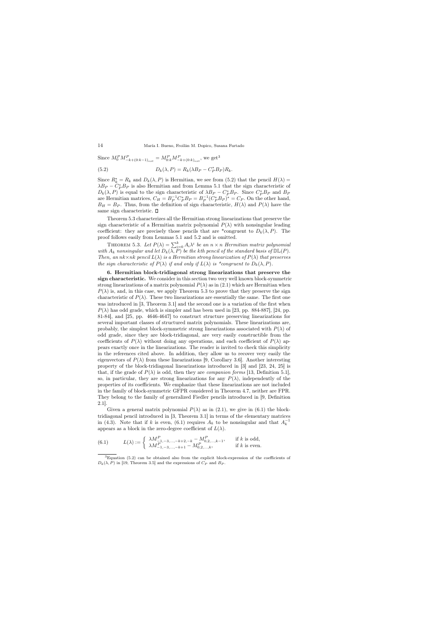Since  $M_0^P M_{-k+(0:k-1)_{ext}}^P = M_{0:k}^P M_{-k+(0:k)_{ext}}^P$ , we get<sup>3</sup>

(5.2) 
$$
D_k(\lambda, P) = R_k(\lambda B_P - C_P^* B_P) R_k.
$$

Since  $R_k^* = R_k$  and  $D_k(\lambda, P)$  is Hermitian, we see from (5.2) that the pencil  $H(\lambda) =$  $\lambda B_P - C_P^* B_P$  is also Hermitian and from Lemma 5.1 that the sign characteristic of  $D_k(\lambda, P)$  is equal to the sign characteristic of  $\lambda B_P - C_P^* B_P$ . Since  $C_P^* B_P$  and  $B_P$ are Hermitian matrices,  $C_H = B_P^{-1} C_P^* B_P = B_P^{-1} (C_P^* B_P)^* = C_P$ . On the other hand,  $B_H = B_P$ . Thus, from the definition of sign characteristic,  $H(\lambda)$  and  $P(\lambda)$  have the same sign characteristic.  $\square$ 

Theorem 5.3 characterizes all the Hermitian strong linearizations that preserve the sign characteristic of a Hermitian matrix polynomial  $P(\lambda)$  with nonsingular leading coefficient: they are precisely those pencils that are \*congruent to  $D_k(\lambda, P)$ . The proof follows easily from Lemmas 5.1 and 5.2 and is omitted.

THEOREM 5.3. Let  $P(\lambda) = \sum_{i=0}^{k} A_i \lambda^i$  be an  $n \times n$  Hermitian matrix polynomial with  $A_k$  nonsingular and let  $D_k(\overline{\lambda}, P)$  be the kth pencil of the standard basis of  $\mathbb{DL}(P)$ . Then, an  $nk \times nk$  pencil  $L(\lambda)$  is a Hermitian strong linearization of  $P(\lambda)$  that preserves the sign characteristic of  $P(\lambda)$  if and only if  $L(\lambda)$  is \*congruent to  $D_k(\lambda, P)$ .

6. Hermitian block-tridiagonal strong linearizations that preserve the sign characteristic. We consider in this section two very well known block-symmetric strong linearizations of a matrix polynomial  $P(\lambda)$  as in (2.1) which are Hermitian when  $P(\lambda)$  is, and, in this case, we apply Theorem 5.3 to prove that they preserve the sign characteristic of  $P(\lambda)$ . These two linearizations are essentially the same. The first one was introduced in [3, Theorem 3.1] and the second one is a variation of the first when  $P(\lambda)$  has odd grade, which is simpler and has been used in [23, pp. 884-887], [24, pp. 81-84], and [25, pp. 4646-4647] to construct structure preserving linearizations for several important classes of structured matrix polynomials. These linearizations are, probably, the simplest block-symmetric strong linearizations associated with  $P(\lambda)$  of odd grade, since they are block-tridiagonal, are very easily constructible from the coefficients of  $P(\lambda)$  without doing any operations, and each coefficient of  $P(\lambda)$  appears exactly once in the linearizations. The reader is invited to check this simplicity in the references cited above. In addition, they allow us to recover very easily the eigenvectors of  $P(\lambda)$  from these linearizations [9, Corollary 3.6]. Another interesting property of the block-tridiagonal linearizations introduced in [3] and [23, 24, 25] is that, if the grade of  $P(\lambda)$  is odd, then they are *companion forms* [13, Definition 5.1], so, in particular, they are strong linearizations for any  $P(\lambda)$ , independently of the properties of its coefficients. We emphasize that these linearizations are not included in the family of block-symmetric GFPR considered in Theorem 4.7, neither are FPR. They belong to the family of generalized Fiedler pencils introduced in [9, Definition 2.1].

Given a general matrix polynomial  $P(\lambda)$  as in (2.1), we give in (6.1) the blocktridiagonal pencil introduced in [3, Theorem 3.1] in terms of the elementary matrices in (4.3). Note that if k is even, (6.1) requires  $A_k$  to be nonsingular and that  $A_k^{-1}$ appears as a block in the zero-degree coefficient of  $L(\lambda)$ .

(6.1) 
$$
L(\lambda) := \begin{cases} \lambda M_{-1,-3,\dots,-k+2,-k}^P - M_{0,2,\dots,k-1}^P, & \text{if } k \text{ is odd,} \\ \lambda M_{-1,-3,\dots,-k+1}^P - M_{0,2,\dots,k}^P, & \text{if } k \text{ is even.} \end{cases}
$$

 ${}^{3}$ Equation (5.2) can be obtained also from the explicit block-expression of the coefficients of  $D_k(\lambda, P)$  in [19, Theorem 3.5] and the expressions of  $C_P$  and  $B_P$ .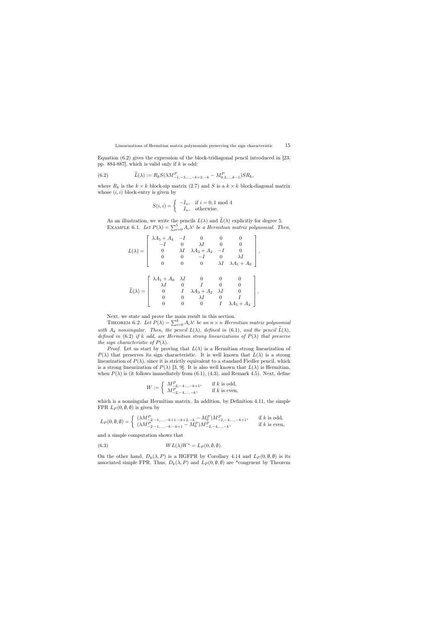Equation (6.2) gives the expression of the block-tridiagonal pencil introduced in [23, pp. 884-887, which is valid only if  $k$  is odd:

(6.2) 
$$
\widetilde{L}(\lambda) := R_k S(\lambda M_{-1,-3,...,-k+2,-k}^P - M_{0,2,...,k-1}^P) S R_k,
$$

where  $R_k$  is the  $k \times k$  block-sip matrix (2.7) and S is a  $k \times k$  block-diagonal matrix whose  $(i, i)$  block-entry is given by

$$
S(i,i) = \begin{cases} -I_n, & \text{if } i = 0, 1 \text{ mod } 4\\ I_n, & \text{otherwise.} \end{cases}
$$

As an illustration, we write the pencils  $L(\lambda)$  and  $\widetilde{L}(\lambda)$  explicitly for degree 5. EXAMPLE 6.1. Let  $P(\lambda) = \sum_{i=0}^{5} A_i \lambda^i$  be a Hermitian matrix polynomial. Then,

$$
L(\lambda) = \begin{bmatrix} \lambda A_5 + A_4 & -I & 0 & 0 & 0 \\ -I & 0 & \lambda I & 0 & 0 \\ 0 & \lambda I & \lambda A_3 + A_2 & -I & 0 \\ 0 & 0 & -I & 0 & \lambda I \\ 0 & 0 & 0 & \lambda I & \lambda A_1 + A_0 \end{bmatrix},
$$

$$
\widetilde{L}(\lambda) = \begin{bmatrix} \lambda A_1 + A_0 & \lambda I & 0 & 0 & 0 \\ \lambda I & 0 & I & 0 & 0 \\ 0 & I & \lambda A_3 + A_2 & \lambda I & 0 \\ 0 & 0 & \lambda I & 0 & I \\ 0 & 0 & 0 & I & \lambda A_5 + A_4 \end{bmatrix}.
$$

Next, we state and prove the main result in this section.

THEOREM 6.2. Let  $P(\lambda) = \sum_{i=0}^{k} A_i \lambda^i$  be an  $n \times n$  Hermitian matrix polynomial with  $A_k$  nonsingular. Then, the pencil  $L(\lambda)$ , defined in (6.1), and the pencil  $\widetilde{L}(\lambda)$ , defined in (6.2) if k odd, are Hermitian strong linearizations of  $P(\lambda)$  that preserve the sign characteristic of  $P(\lambda)$ .

*Proof.* Let us start by proving that  $L(\lambda)$  is a Hermitian strong linearization of  $P(\lambda)$  that preserves its sign characteristic. It is well known that  $L(\lambda)$  is a strong linearization of  $P(\lambda)$ , since it is strictly equivalent to a standard Fiedler pencil, which is a strong linearization of  $P(\lambda)$  [3, 9]. It is also well known that  $L(\lambda)$  is Hermitian, when  $P(\lambda)$  is (it follows immediately from (6.1), (4.3), and Remark 4.5). Next, define

$$
W := \left\{ \begin{array}{ll} M_{-2,-4,\dots,-k+1}^P, & \text{if } k \text{ is odd,} \\ M_{-2,-4,\dots,-k}^P, & \text{if } k \text{ is even,} \end{array} \right.
$$

which is a nonsingular Hermitian matrix. In addition, by Definition 4.11, the simple FPR  $L_P(0, \emptyset, \emptyset)$  is given by

$$
L_P(0, \emptyset, \emptyset) = \begin{cases} (\lambda M_{-2:-1,...,-k+1:-k+2,-k}^P - M_0^P)M_{-2,-4,...,-k+1}^P, & \text{if } k \text{ is odd,} \\ (\lambda M_{-2:-1,...,-k:-k+1}^P - M_0^P)M_{-2,-4,...,-k}^P, & \text{if } k \text{ is even,} \end{cases}
$$

and a simple computation shows that

(6.3) 
$$
WL(\lambda)W^* = L_P(0, \emptyset, \emptyset).
$$

On the other hand,  $D_k(\lambda, P)$  is a HGFPR by Corollary 4.14 and  $L_P(0, \emptyset, \emptyset)$  is its associated simple FPR. Thus,  $D_k(\lambda, P)$  and  $L_P(0, \emptyset, \emptyset)$  are \*congruent by Theorem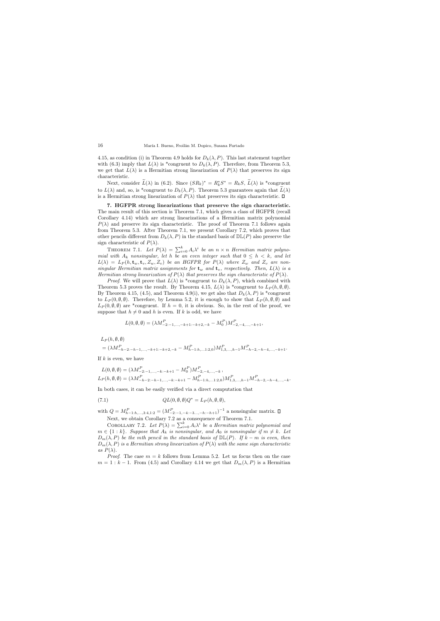4.15, as condition (i) in Theorem 4.9 holds for  $D_k(\lambda, P)$ . This last statement together with (6.3) imply that  $L(\lambda)$  is \*congruent to  $D_k(\lambda, P)$ . Therefore, from Theorem 5.3, we get that  $L(\lambda)$  is a Hermitian strong linearization of  $P(\lambda)$  that preserves its sign characteristic.

Next, consider  $\tilde{L}(\lambda)$  in (6.2). Since  $(SR_k)^* = R_k^* S^* = R_k S$ ,  $\tilde{L}(\lambda)$  is \*congruent to  $L(\lambda)$  and, so, is \*congruent to  $D_k(\lambda, P)$ . Theorem 5.3 guarantees again that  $\widetilde{L}(\lambda)$ is a Hermitian strong linearization of  $P(\lambda)$  that preserves its sign characteristic.  $\Box$ 

7. HGFPR strong linearizations that preserve the sign characteristic. The main result of this section is Theorem 7.1, which gives a class of HGFPR (recall Corollary 4.14) which are strong linearizations of a Hermitian matrix polynomial  $P(\lambda)$  and preserve its sign characteristic. The proof of Theorem 7.1 follows again from Theorem 5.3. After Theorem 7.1, we present Corollary 7.2, which proves that other pencils different from  $D_k(\lambda, P)$  in the standard basis of  $\mathbb{DL}(P)$  also preserve the sign characteristic of  $P(\lambda)$ .

THEOREM 7.1. Let  $P(\lambda) = \sum_{i=0}^{k} A_i \lambda^i$  be an  $n \times n$  Hermitian matrix polynomial with  $A_k$  nonsingular, let h be an even integer such that  $0 \leq h \lt k$ , and let  $L(\lambda) = L_P(h, \mathbf{t}_w, \mathbf{t}_v, Z_w, Z_v)$  be an HGFPR for  $P(\lambda)$  where  $Z_w$  and  $Z_v$  are nonsingular Hermitian matrix assignments for  $\mathbf{t}_w$  and  $\mathbf{t}_v$ , respectively. Then,  $L(\lambda)$  is a Hermitian strong linearization of  $P(\lambda)$  that preserves the sign characteristic of  $P(\lambda)$ .

*Proof.* We will prove that  $L(\lambda)$  is \*congruent to  $D_k(\lambda, P)$ , which combined with Theorem 5.3 proves the result. By Theorem 4.15,  $L(\lambda)$  is \*congruent to  $L_P(h, \emptyset, \emptyset)$ . By Theorem 4.15, (4.5), and Theorem 4.9(i), we get also that  $D_k(\lambda, P)$  is \*congruent to  $L_P(0, \emptyset, \emptyset)$ . Therefore, by Lemma 5.2, it is enough to show that  $L_P(h, \emptyset, \emptyset)$  and  $L_P(0, \emptyset, \emptyset)$  are \*congruent. If  $h = 0$ , it is obvious. So, in the rest of the proof, we suppose that  $h \neq 0$  and h is even. If k is odd, we have

$$
L(0, \emptyset, \emptyset) = (\lambda M_{-2:-1,...,-k+1:-k+2,-k}^{P} - M_0^{P})M_{-2,-4,...,-k+1}^{P},
$$

 $L_P (h, \emptyset, \emptyset)$ 

$$
= (\lambda M_{-h-2:-h-1,...,-k+1:-k+2,-k}^P - M_{h-1:h,...1:2,0}^P)M_{1,3,...,h-1}^P M_{-h-2,-h-4,...,-k+1}^P.
$$

If  $k$  is even, we have

$$
L(0, \emptyset, \emptyset) = (\lambda M_{-2:-1,...,-k:-k+1}^P - M_0^P) M_{-2,-4,...,-k}^P,
$$
  
\n
$$
L_P(h, \emptyset, \emptyset) = (\lambda M_{-h-2:-h-1,...,-k:-k+1}^P - M_{h-1:h,...1:2,0}^P) M_{1,3,...,h-1}^P M_{-h-2,-h-4,...,-k}^P.
$$

In both cases, it can be easily verified via a direct computation that

(7.1) 
$$
QL(0, \emptyset, \emptyset)Q^* = L_P(h, \emptyset, \emptyset),
$$

with  $Q = M_{h-1:h,...,3:4,1:2}^P = (M_{-2:-1,-4:-3...,-h:-h+1}^P)^{-1}$  a nonsingular matrix.

Next, we obtain Corollary 7.2 as a consequence of Theorem 7.1.

COROLLARY 7.2. Let  $P(\lambda) = \sum_{i=0}^{k} A_i \lambda^i$  be a Hermitian matrix polynomial and  $m \in \{1:k\}$ . Suppose that  $A_k$  is nonsingular, and  $A_0$  is nonsingular if  $m \neq k$ . Let  $D_m(\lambda, P)$  be the mth pencil in the standard basis of  $\mathbb{DL}(P)$ . If  $k - m$  is even, then  $D_m(\lambda, P)$  is a Hermitian strong linearization of  $P(\lambda)$  with the same sign characteristic as  $P(\lambda)$ .

*Proof.* The case  $m = k$  follows from Lemma 5.2. Let us focus then on the case  $m = 1 : k - 1$ . From (4.5) and Corollary 4.14 we get that  $D_m(\lambda, P)$  is a Hermitian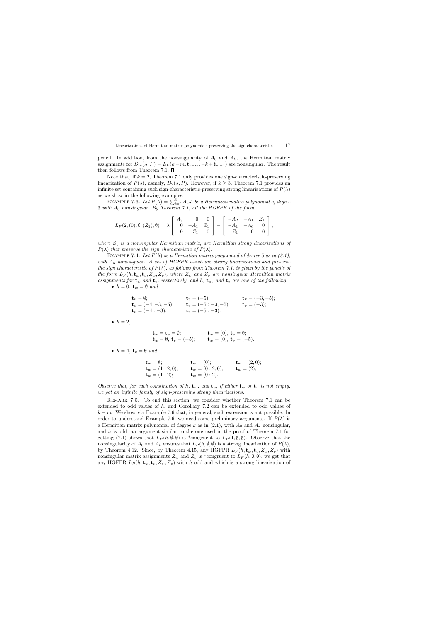pencil. In addition, from the nonsingularity of  $A_0$  and  $A_k$ , the Hermitian matrix assignments for  $D_m(\lambda, P) = L_P(k-m, \mathbf{t}_{k-m}, -k+\mathbf{t}_{m-1})$  are nonsingular. The result then follows from Theorem 7.1.  $\square$ 

Note that, if  $k = 2$ , Theorem 7.1 only provides one sign-characteristic-preserving linearization of  $P(\lambda)$ , namely,  $D_2(\lambda, P)$ . However, if  $k \geq 3$ , Theorem 7.1 provides an infinite set containing such sign-characteristic-preserving strong linearizations of  $P(\lambda)$ as we show in the following examples.

EXAMPLE 7.3. Let  $P(\lambda) = \sum_{i=0}^{3} A_i \lambda^i$  be a Hermitian matrix polynomial of degree 3 with A<sup>3</sup> nonsingular. By Theorem 7.1, all the HGFPR of the form

$$
L_P(2,(0),\emptyset,(Z_1),\emptyset) = \lambda \left[ \begin{array}{ccc} A_3 & 0 & 0 \\ 0 & -A_1 & Z_1 \\ 0 & Z_1 & 0 \end{array} \right] - \left[ \begin{array}{ccc} -A_2 & -A_1 & Z_1 \\ -A_1 & -A_0 & 0 \\ Z_1 & 0 & 0 \end{array} \right],
$$

where  $Z_1$  is a nonsingular Hermitian matrix, are Hermitian strong linearizations of  $P(\lambda)$  that preserve the sign characteristic of  $P(\lambda)$ .

EXAMPLE 7.4. Let  $P(\lambda)$  be a Hermitian matrix polynomial of degree 5 as in (2.1), with  $A_5$  nonsingular. A set of HGFPR which are strong linearizations and preserve the sign characteristic of  $P(\lambda)$ , as follows from Theorem 7.1, is given by the pencils of the form  $L_P(h, \mathbf{t}_w, \mathbf{t}_v, Z_w, Z_v)$ , where  $Z_w$  and  $Z_v$  are nonsingular Hermitian matrix assignments for  $\mathbf{t}_w$  and  $\mathbf{t}_v$ , respectively, and h,  $\mathbf{t}_w$ , and  $\mathbf{t}_v$  are one of the following:

• 
$$
h = 0
$$
,  $\mathbf{t}_w = \emptyset$  and

$$
\begin{array}{ll}\n\mathbf{t}_v = \emptyset; & \mathbf{t}_v = (-5); & \mathbf{t}_v = (-3, -5); \\
\mathbf{t}_v = (-4, -3, -5); & \mathbf{t}_v = (-5: -3, -5); & \mathbf{t}_v = (-3); \\
\mathbf{t}_v = (-4: -3); & \mathbf{t}_v = (-5: -3).\n\end{array}
$$

 $\bullet$   $h = 2$ ,

$$
\begin{array}{ll}\n\mathbf{t}_w = \mathbf{t}_v = \emptyset; & \mathbf{t}_w = (0), \ \mathbf{t}_v = \emptyset; \\
\mathbf{t}_w = \emptyset, \ \mathbf{t}_v = (-5); & \mathbf{t}_w = (0), \ \mathbf{t}_v = (-5).\n\end{array}
$$

• 
$$
h = 4
$$
,  $\mathbf{t}_v = \emptyset$  and

$$
\begin{array}{ll}\n\mathbf{t}_w = \emptyset; & \mathbf{t}_w = (0); & \mathbf{t}_w = (2,0); \\
\mathbf{t}_w = (1:2,0); & \mathbf{t}_w = (0:2,0); & \mathbf{t}_w = (2); \\
\mathbf{t}_w = (1:2); & \mathbf{t}_w = (0:2).\n\end{array}
$$

Observe that, for each combination of h,  $t_w$ , and  $t_v$ , if either  $t_w$  or  $t_v$  is not empty, we get an infinite family of sign-preserving strong linearizations.

Remark 7.5. To end this section, we consider whether Theorem 7.1 can be extended to odd values of h, and Corollary 7.2 can be extended to odd values of  $k - m$ . We show via Example 7.6 that, in general, such extension is not possible. In order to understand Example 7.6, we need some preliminary arguments. If  $P(\lambda)$  is a Hermitian matrix polynomial of degree k as in  $(2.1)$ , with  $A_0$  and  $A_k$  nonsingular, and  $h$  is odd, an argument similar to the one used in the proof of Theorem 7.1 for getting (7.1) shows that  $L_P(h, \emptyset, \emptyset)$  is \*congruent to  $L_P(1, \emptyset, \emptyset)$ . Observe that the nonsingularity of  $A_0$  and  $A_k$  ensures that  $L_P(h, \emptyset, \emptyset)$  is a strong linearization of  $P(\lambda)$ , by Theorem 4.12. Since, by Theorem 4.15, any HGFPR  $L_P(h, \mathbf{t}_w, \mathbf{t}_v, Z_w, Z_v)$  with nonsingular matrix assignments  $Z_w$  and  $Z_v$  is \*congruent to  $L_P(h, \emptyset, \emptyset)$ , we get that any HGFPR  $L_P(h, \mathbf{t}_w, \mathbf{t}_v, Z_w, Z_v)$  with h odd and which is a strong linearization of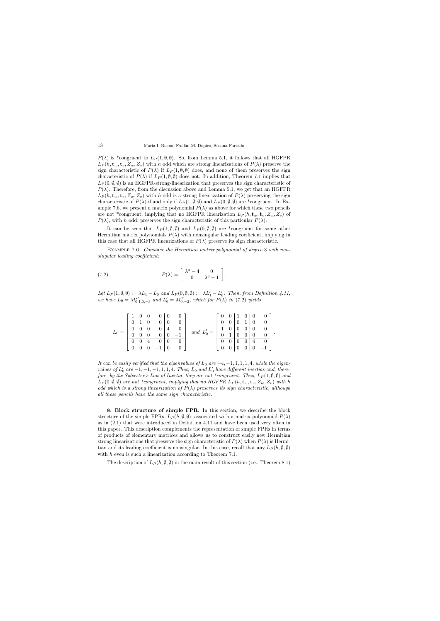$P(\lambda)$  is \*congruent to  $L_P(1,\emptyset,\emptyset)$ . So, from Lemma 5.1, it follows that all HGFPR  $L_P(h, \mathbf{t}_w, \mathbf{t}_v, Z_w, Z_v)$  with h odd which are strong linearizations of  $P(\lambda)$  preserve the sign characteristic of  $P(\lambda)$  if  $L_P(1, \emptyset, \emptyset)$  does, and none of them preserves the sign characteristic of  $P(\lambda)$  if  $L_P(1, \emptyset, \emptyset)$  does not. In addition, Theorem 7.1 implies that  $L_P(0, \emptyset, \emptyset)$  is an HGFPR-strong-linearization that preserves the sign characteristic of  $P(\lambda)$ . Therefore, from the discussion above and Lemma 5.1, we get that an HGFPR  $L_P(h, \mathbf{t}_w, \mathbf{t}_v, Z_w, Z_v)$  with h odd is a strong linearization of  $P(\lambda)$  preserving the sign characteristic of  $P(\lambda)$  if and only if  $L_P(1, \emptyset, \emptyset)$  and  $L_P(0, \emptyset, \emptyset)$  are \*congruent. In Example 7.6, we present a matrix polynomial  $P(\lambda)$  as above for which these two pencils are not \*congruent, implying that no HGFPR linearization  $L_P(h, \mathbf{t}_w, \mathbf{t}_v, Z_w, Z_v)$  of  $P(\lambda)$ , with h odd, preserves the sign characteristic of this particular  $P(\lambda)$ .

It can be seen that  $L_P(1,\emptyset,\emptyset)$  and  $L_P(0,\emptyset,\emptyset)$  are \*congruent for some other Hermitian matrix polynomials  $P(\lambda)$  with nonsingular leading coefficient, implying in this case that all HGFPR linearizations of  $P(\lambda)$  preserve its sign characteristic.

Example 7.6. Consider the Hermitian matrix polynomial of degree 3 with nonsingular leading coefficient:

(7.2) 
$$
P(\lambda) = \begin{bmatrix} \lambda^3 - 4 & 0 \\ 0 & \lambda^3 + 1 \end{bmatrix}.
$$

Let  $L_P(1, \emptyset, \emptyset) := \lambda L_1 - L_0$  and  $L_P(0, \emptyset, \emptyset) := \lambda L_1' - L_0'$ . Then, from Definition 4.11, we have  $L_0 = M_{0,1,0,-3}^P$  and  $L'_0 = M_{0,-2}^P$ , which for  $P(\lambda)$  in (7.2) yields

| $L_0 =$ |                |  |            | $\overline{0}$ | $\hspace{1.6cm}0\hspace{1.1cm}$ | and $L'_0 =$ |          | $\theta$       | $\overline{1}$ | $\overline{0}$<br>$\Omega$                                                                                  | $\theta$ |                      |
|---------|----------------|--|------------|----------------|---------------------------------|--------------|----------|----------------|----------------|-------------------------------------------------------------------------------------------------------------|----------|----------------------|
|         | $\overline{0}$ |  |            | 4              |                                 |              |          |                |                |                                                                                                             |          |                      |
|         | $\theta$       |  | $0 \mid 0$ |                | $-1$                            |              | $\theta$ | $\overline{1}$ |                | $\begin{array}{c c c c} & \text{J} & 0 & 0 & \text{J} \ & \text{J} & 0 & 0 & \text{J} \ \hline \end{array}$ |          | $\ddot{\phantom{1}}$ |
|         |                |  |            | $\overline{0}$ |                                 |              |          |                |                | $\overline{4}$                                                                                              |          |                      |
|         |                |  |            | $\overline{0}$ |                                 |              |          |                |                |                                                                                                             |          |                      |

It can be easily verified that the eigenvalues of  $L_0$  are  $-4, -1, 1, 1, 1, 4$ , while the eigenvalues of  $L'_0$  are  $-1, -1, -1, 1, 1, 4$ . Thus,  $L_0$  and  $L'_0$  have different inertias and, therefore, by the Sylvester's Law of Inertia, they are not \*congruent. Thus,  $L_P(1, \emptyset, \emptyset)$  and  $L_P(0, \emptyset, \emptyset)$  are not \*congruent, implying that no HGFPR  $L_P(h, \mathbf{t}_w, \mathbf{t}_v, Z_w, Z_v)$  with h odd which is a strong linearization of  $P(\lambda)$  preserves its sign characteristic, although all these pencils have the same sign characteristic.

8. Block structure of simple FPR. In this section, we describe the block structure of the simple FPRs,  $L_P(h, \emptyset, \emptyset)$ , associated with a matrix polynomial  $P(\lambda)$ as in (2.1) that were introduced in Definition 4.11 and have been used very often in this paper. This description complements the representation of simple FPRs in terms of products of elementary matrices and allows us to construct easily new Hermitian strong linearizations that preserve the sign characteristic of  $P(\lambda)$  when  $P(\lambda)$  is Hermitian and its leading coefficient is nonsingular. In this case, recall that any  $L_P(h, \emptyset, \emptyset)$ with  $h$  even is such a linearization according to Theorem 7.1.

The description of  $L_P(h, \emptyset, \emptyset)$  in the main result of this section (i.e., Theorem 8.1)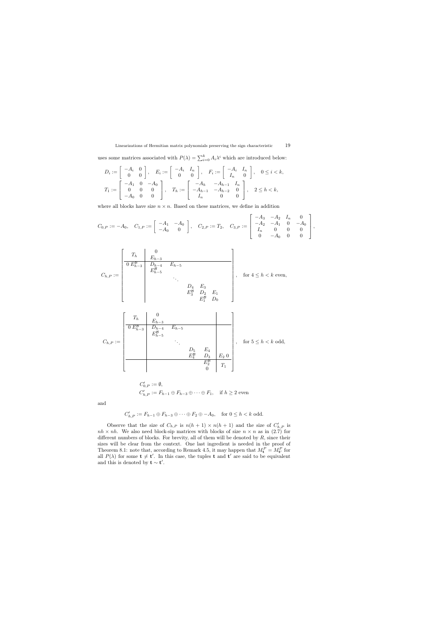uses some matrices associated with  $P(\lambda) = \sum_{i=0}^{k} A_i \lambda^i$  which are introduced below:

$$
D_i := \begin{bmatrix} -A_i & 0 \\ 0 & 0 \end{bmatrix}, \quad E_i := \begin{bmatrix} -A_i & I_n \\ 0 & 0 \end{bmatrix}, \quad F_i := \begin{bmatrix} -A_i & I_n \\ I_n & 0 \end{bmatrix}, \quad 0 \le i < k,
$$
  

$$
T_1 := \begin{bmatrix} -A_1 & 0 & -A_0 \\ 0 & 0 & 0 \\ -A_0 & 0 & 0 \end{bmatrix}, \quad T_h := \begin{bmatrix} -A_h & -A_{h-1} & I_n \\ -A_{h-1} & -A_{h-2} & 0 \\ I_n & 0 & 0 \end{bmatrix}, \quad 2 \le h < k,
$$

where all blocks have size  $n \times n$ . Based on these matrices, we define in addition

$$
C_{0,P}:=-A_0,\quad C_{1,P}:=\left[\begin{array}{cc} -A_1 & -A_0 \\ -A_0 & 0 \end{array}\right],\quad C_{2,P}:=T_2,\quad C_{3,P}:=\left[\begin{array}{cc} -A_3 & -A_2 & I_n & 0 \\ -A_2 & -A_1 & 0 & -A_0 \\ I_n & 0 & 0 & 0 \\ 0 & -A_0 & 0 & 0 \end{array}\right],
$$

$$
C_{h,P} := \begin{bmatrix} T_h & 0 & & & & \\ \hline 0 & E_{h-3}^{\mathcal{B}} & D_{h-4} & E_{h-5} & & & \\ & & E_{h-5}^{\mathcal{B}} & & & \\ & & & \ddots & & \\ & & & & E_3^{\mathcal{B}} & D_2 & E_1 \\ & & & & & E_1^{\mathcal{B}} & D_0 \end{bmatrix}, \quad \text{for } 4 \leq h < k \text{ even},
$$

$$
C_{h,P} := \begin{bmatrix} T_h & 0 & & \\ \hline 0 & E_{h-3}^{\mathcal{B}} & D_{h-4} & E_{h-5} \\ & E_{h-5}^{\mathcal{B}} & & \ddots & \\ & & \ddots & & \\ & & E_4^{\mathcal{B}} & D_3 & E_2 & 0 \\ & & & E_2^{\mathcal{B}} & T_1 \\ & & & 0 \end{bmatrix}, \quad \text{for } 5 \le h < k \text{ odd},
$$

$$
C'_{0,P} := \emptyset,
$$
  

$$
C'_{h,P} := F_{h-1} \oplus F_{h-3} \oplus \cdots \oplus F_1, \text{ if } h \ge 2 \text{ even}
$$

and

$$
C'_{h,P} := F_{h-1} \oplus F_{h-3} \oplus \cdots \oplus F_2 \oplus -A_0, \quad \text{for } 0 \le h < k \text{ odd.}
$$

Observe that the size of  $C_{h,P}$  is  $n(h + 1) \times n(h + 1)$  and the size of  $C'_{h,P}$  is  $nh \times nh$ . We also need block-sip matrices with blocks of size  $n \times n$  as in (2.7) for different numbers of blocks. For brevity, all of them will be denoted by  $R$ , since their sizes will be clear from the context. One last ingredient is needed in the proof of Theorem 8.1: note that, according to Remark 4.5, it may happen that  $M_t^P = M_{t'}^P$  for all  $P(\lambda)$  for some  $t \neq t'$ . In this case, the tuples t and t' are said to be equivalent and this is denoted by  $t \sim t'$ .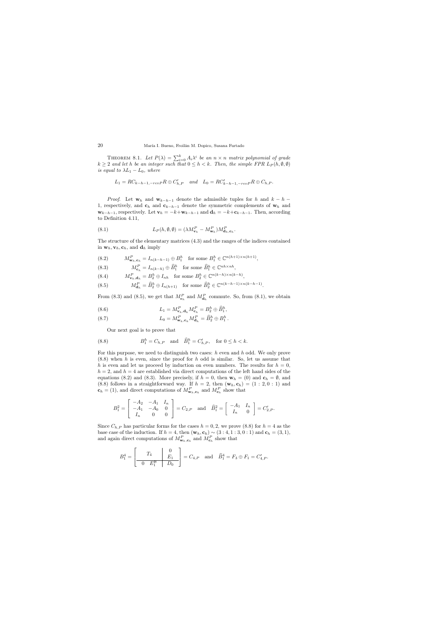THEOREM 8.1. Let  $P(\lambda) = \sum_{i=0}^{k} A_i \lambda^i$  be an  $n \times n$  matrix polynomial of grade  $k \geq 2$  and let h be an integer such that  $0 \leq h < k$ . Then, the simple FPR  $L_P(h, \emptyset, \emptyset)$ is equal to  $\lambda L_1 - L_0$ , where

$$
L_1 = RC_{k-h-1, -revP}R \oplus C'_{h,P} \quad and \quad L_0 = RC'_{k-h-1, -revP}R \oplus C_{h,P}.
$$

*Proof.* Let  $w_h$  and  $w_{k-h-1}$  denote the admissible tuples for h and  $k-h-1$ 1, respectively, and  $c_h$  and  $c_{k-h-1}$  denote the symmetric complements of  $w_h$  and  $\mathbf{w}_{k-h-1}$ , respectively. Let  $\mathbf{v}_h = -k + \mathbf{w}_{k-h-1}$  and  $\mathbf{d}_h = -k + \mathbf{c}_{k-h-1}$ . Then, according to Definition 4.11,

(8.1) 
$$
L_P(h, \emptyset, \emptyset) = (\lambda M_{\mathbf{v}_h}^P - M_{\mathbf{w}_h}^P) M_{\mathbf{d}_h, \mathbf{c}_h}^P.
$$

The structure of the elementary matrices (4.3) and the ranges of the indices contained in  $\mathbf{w}_h$ ,  $\mathbf{v}_h$ ,  $\mathbf{c}_h$ , and  $\mathbf{d}_h$  imply

(8.2) 
$$
M_{\mathbf{w}_h,\mathbf{c}_h}^P = I_{n(k-h-1)} \oplus B_1^h \text{ for some } B_1^h \in \mathbb{C}^{n(h+1)\times n(h+1)},
$$

(8.3)  $M_{\mathbf{c}_h}^P = I_{n(k-h)} \oplus \widehat{B}_1^h \text{ for some } \widehat{B}_1^h \in \mathbb{C}^{nh \times nh},$ 

(8.4) 
$$
M_{\mathbf{v}_h,\mathbf{d}_h}^P = B_2^h \oplus I_{nh} \text{ for some } B_2^h \in \mathbb{C}^{n(k-h)\times n(k-h)},
$$

(8.5) 
$$
M_{\mathbf{d}_h}^P = \widehat{B}_2^h \oplus I_{n(h+1)} \quad \text{for some } \widehat{B}_2^h \in \mathbb{C}^{n(k-h-1)\times n(k-h-1)}.
$$

From (8.3) and (8.5), we get that  $M_{\mathbf{c}_h}^P$  and  $M_{\mathbf{d}_h}^P$  commute. So, from (8.1), we obtain

(8.6) 
$$
L_1 = M_{\mathbf{v}_h, \mathbf{d}_h}^P M_{\mathbf{c}_h}^P = B_2^h \oplus \widehat{B}_1^h,
$$

(8.7) 
$$
L_0 = M_{\mathbf{w}_h, \mathbf{c}_h}^P M_{\mathbf{d}_h}^P = \widehat{B}_2^h \oplus B_1^h.
$$

Our next goal is to prove that

(8.8) 
$$
B_1^h = C_{h,P}
$$
 and  $\hat{B}_1^h = C'_{h,P}$ , for  $0 \le h < k$ .

For this purpose, we need to distinguish two cases:  $h$  even and  $h$  odd. We only prove  $(8.8)$  when h is even, since the proof for h odd is similar. So, let us assume that h is even and let us proceed by induction on even numbers. The results for  $h = 0$ ,  $h = 2$ , and  $h = 4$  are established via direct computations of the left hand sides of the equations (8.2) and (8.3). More precisely, if  $h = 0$ , then  $\mathbf{w}_h = (0)$  and  $\mathbf{c}_h = \emptyset$ , and (8.8) follows in a straightforward way. If  $h = 2$ , then  $(\mathbf{w}_h, \mathbf{c}_h) = (1 : 2, 0 : 1)$  and  $\mathbf{c}_h = (1)$ , and direct computations of  $M_{\mathbf{w}_h, \mathbf{c}_h}^P$  and  $M_{\mathbf{c}_h}^P$  show that

$$
B_1^2 = \begin{bmatrix} -A_2 & -A_1 & I_n \\ -A_1 & -A_0 & 0 \\ I_n & 0 & 0 \end{bmatrix} = C_{2,P} \text{ and } \hat{B}_1^2 = \begin{bmatrix} -A_1 & I_n \\ I_n & 0 \end{bmatrix} = C'_{2,P}.
$$

Since  $C_{h,P}$  has particular forms for the cases  $h = 0, 2$ , we prove (8.8) for  $h = 4$  as the base case of the induction. If  $h = 4$ , then  $(\mathbf{w}_h, \mathbf{c}_h) \sim (3:4, 1:3, 0:1)$  and  $\mathbf{c}_h = (3, 1)$ , and again direct computations of  $M_{\mathbf{w}_h,\mathbf{c}_h}^P$  and  $M_{\mathbf{c}_h}^P$  show that

$$
B_1^4 = \begin{bmatrix} T_4 & 0 \\ \hline 0 & E_1^B & D_0 \end{bmatrix} = C_{4,P} \text{ and } \hat{B}_1^4 = F_3 \oplus F_1 = C'_{4,P}.
$$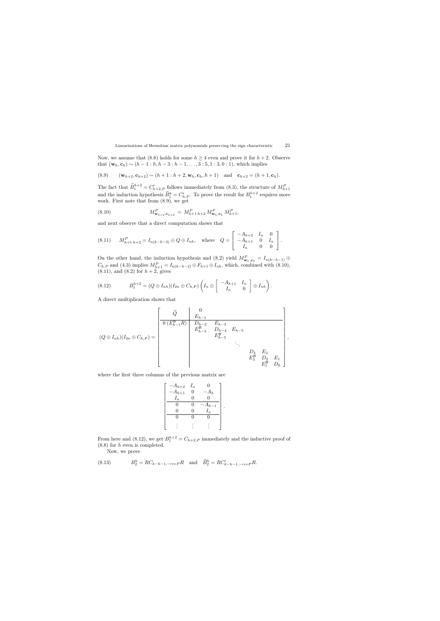Now, we assume that (8.8) holds for some  $h \geq 4$  even and prove it for  $h + 2$ . Observe that  $(\mathbf{w}_h, \mathbf{c}_h) \sim (h-1 : h, h-3 : h-1, \ldots, 3 : 5, 1 : 3, 0 : 1)$ , which implies

(8.9) 
$$
(\mathbf{w}_{h+2}, \mathbf{c}_{h+2}) \sim (h+1 : h+2, \mathbf{w}_h, \mathbf{c}_h, h+1)
$$
 and  $\mathbf{c}_{h+2} = (h+1, \mathbf{c}_h)$ .

The fact that  $\widehat{B}_1^{h+2} = C'_{h+2,P}$  follows immediately from (8.3), the structure of  $M_{h+1}^P$ and the induction hypothesis  $\widehat{B}_1^h = C'_{h,P}$ . To prove the result for  $B_1^{h+2}$  requires more work. First note that from (8.9), we get

(8.10) 
$$
M_{\mathbf{w}_{h+2}, \mathbf{c}_{h+2}}^P = M_{h+1:h+2}^P M_{\mathbf{w}_h, \mathbf{c}_h}^P M_{h+1}^P,
$$

and next observe that a direct computation shows that

$$
(8.11) \tM_{h+1:h+2}^P = I_{n(k-h-3)} \oplus Q \oplus I_{nh}, \t\text{where} \tQ = \begin{bmatrix} -A_{h+2} & I_n & 0 \\ -A_{h+1} & 0 & I_n \\ I_n & 0 & 0 \end{bmatrix}.
$$

On the other hand, the induction hypothesis and (8.2) yield  $M_{\mathbf{w}_h,\mathbf{c}_h}^P = I_{n(k-h-1)} \oplus$  $C_{h,P}$  and (4.3) implies  $M_{h+1}^P = I_{n(k-h-2)} \oplus F_{h+1} \oplus I_{nh}$ , which, combined with (8.10),  $(8.11)$ , and  $(8.2)$  for  $h + 2$ , gives

$$
(8.12) \tB_1^{h+2} = (Q \oplus I_{nh})(I_{2n} \oplus C_{h,P}) \left(I_n \oplus \begin{bmatrix} -A_{h+1} & I_n \\ I_n & 0 \end{bmatrix} \oplus I_{nh}\right).
$$

A direct multiplication shows that

$$
(Q \oplus I_{nh})(I_{2n} \oplus C_{h,P}) = \begin{bmatrix} \widetilde{Q} & 0 \\ \frac{E_{h-1}}{0 (E_{h-1}^B R)} & D_{h-2} & E_{h-3} \\ E_{h-3}^B & D_{h-4} & E_{h-5} \\ & & & E_{h-5}^B \\ & & & & \ddots \\ & & & & E_{3}^B & D_{2} & E_{1} \\ & & & & & E_{1}^B & D_{0} \end{bmatrix},
$$

where the first three columns of the previous matrix are

$$
\begin{bmatrix}\n-A_{h+2} & I_n & 0 \\
-A_{h+1} & 0 & -A_h \\
I_n & 0 & 0 \\
\hline\n0 & 0 & -A_{h-1} \\
0 & 0 & I_n \\
\hline\n0 & 0 & 0 \\
\vdots & \vdots & \vdots\n\end{bmatrix}
$$

.

From here and (8.12), we get  $B_1^{h+2} = C_{h+2,P}$  immediately and the inductive proof of (8.8) for h even is completed.

Now, we prove

(8.13) 
$$
B_2^h = RC_{k-h-1, -revP}R \text{ and } \hat{B}_2^h = RC'_{k-h-1, -revP}R.
$$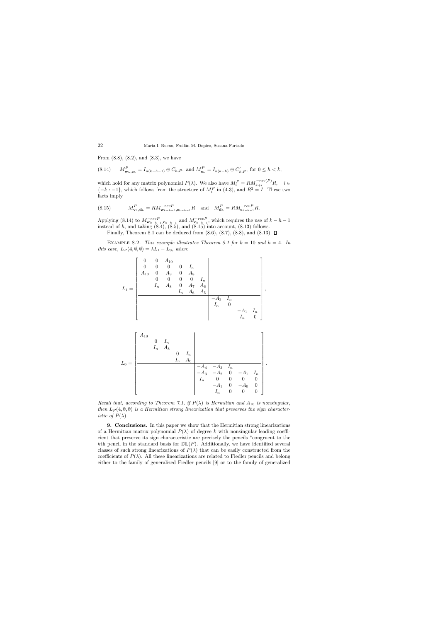From  $(8.8)$ ,  $(8.2)$ , and  $(8.3)$ , we have

$$
(8.14) \qquad M_{\mathbf{w}_h, \mathbf{c}_h}^P = I_{n(k-h-1)} \oplus C_{h,P}, \text{ and } M_{\mathbf{c}_h}^P = I_{n(k-h)} \oplus C_{h,P}', \text{ for } 0 \le h < k,
$$

which hold for any matrix polynomial  $P(\lambda)$ . We also have  $M_i^P = RM_{k+i}^{-rev(P)}R$ ,  $i \in$  $\{-k:-1\}$ , which follows from the structure of  $M_i^P$  in (4.3), and  $R^2 = I$ . These two facts imply

(8.15) 
$$
M_{\mathbf{v}_h,\mathbf{d}_h}^P = RM_{\mathbf{w}_{k-h-1},\mathbf{c}_{k-h-1}}^{-revP} R \text{ and } M_{\mathbf{d}_h}^P = RM_{\mathbf{c}_{k-h-1}}^{-revP} R.
$$

Applying (8.14) to  $M_{\mathbf{w}_{k-h-1},\mathbf{c}_{k-h-1}}^{-revP}$  and  $M_{\mathbf{c}_{k-h-1}}^{-revP}$ , which requires the use of  $k-h-1$ instead of  $h$ , and taking  $(8.4)$ ,  $(8.5)$ , and  $(8.15)$  into account,  $(8.13)$  follows.

Finally, Theorem 8.1 can be deduced from  $(8.6)$ ,  $(8.7)$ ,  $(8.8)$ , and  $(8.13)$ .  $\square$ 

EXAMPLE 8.2. This example illustrates Theorem 8.1 for  $k = 10$  and  $h = 4$ . In this case,  $L_P(4, \emptyset, \emptyset) = \lambda L_1 - L_0$ , where

L<sup>1</sup> = 0 0 A<sup>10</sup> 0 0 0 0 I<sup>n</sup> A<sup>10</sup> 0 A<sup>9</sup> 0 A<sup>8</sup> 0 0 0 0 I<sup>n</sup> I<sup>n</sup> A<sup>8</sup> 0 A<sup>7</sup> A<sup>6</sup> I<sup>n</sup> A<sup>6</sup> A<sup>5</sup> −A<sup>3</sup> I<sup>n</sup> I<sup>n</sup> 0 −A<sup>1</sup> I<sup>n</sup> I<sup>n</sup> 0 ,

$$
L_0 = \begin{bmatrix} A_{10} & & & & & & & \\ & 0 & I_n & & & & & \\ & I_n & A_8 & & & & & \\ & & 0 & I_n & & & & \\ & & & I_n & A_6 & & & \\ & & & & -A_4 & -A_3 & I_n & \\ & & & & -A_3 & -A_2 & 0 & -A_1 & I_n \\ & & & I_n & 0 & 0 & 0 & 0 \\ & & & & I_n & 0 & 0 & 0 \end{bmatrix}
$$

.

Recall that, according to Theorem 7.1, if  $P(\lambda)$  is Hermitian and  $A_{10}$  is nonsingular, then  $L_P(4, \emptyset, \emptyset)$  is a Hermitian strong linearization that preserves the sign character*istic of*  $P(\lambda)$ .

9. Conclusions. In this paper we show that the Hermitian strong linearizations of a Hermitian matrix polynomial  $P(\lambda)$  of degree k with nonsingular leading coefficient that preserve its sign characteristic are precisely the pencils \*congruent to the kth pencil in the standard basis for  $D\mathbb{L}(P)$ . Additionally, we have identified several classes of such strong linearizations of  $P(\lambda)$  that can be easily constructed from the coefficients of  $P(\lambda)$ . All these linearizations are related to Fiedler pencils and belong either to the family of generalized Fiedler pencils [9] or to the family of generalized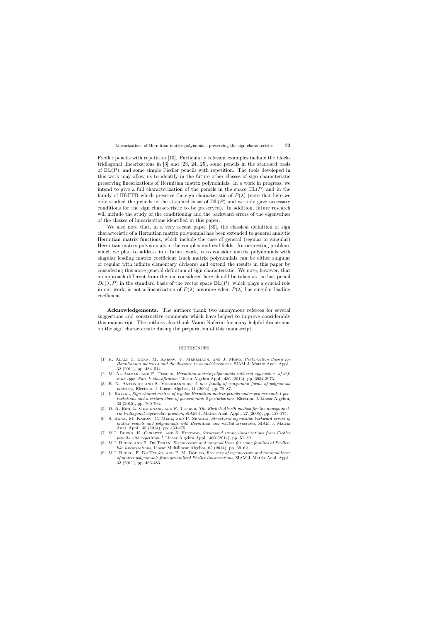Fiedler pencils with repetition [10]. Particularly relevant examples include the blocktridiagonal linearizations in [3] and [23, 24, 25], some pencils in the standard basis of  $D\mathbb{L}(P)$ , and some simple Fiedler pencils with repetition. The tools developed in this work may allow us to identify in the future other classes of sign characteristic preserving linearizations of Hermitian matrix polynomials. In a work in progress, we intend to give a full characterization of the pencils in the space  $D\mathbb{L}(P)$  and in the family of HGFPR which preserve the sign characteristic of  $P(\lambda)$  (note that here we only studied the pencils in the standard basis of  $D\mathbb{L}(P)$  and we only gave necessary conditions for the sign characteristic to be preserved). In addition, future research will include the study of the conditioning and the backward errors of the eigenvalues of the classes of linearizations identified in this paper.

We also note that, in a very recent paper [30], the classical definition of sign characteristic of a Hermitian matrix polynomial has been extended to general analytic Hermitian matrix functions, which include the case of general (regular or singular) Hermitian matrix polynomials in the complex and real fields. An interesting problem, which we plan to address in a future work, is to consider matrix polynomials with singular leading matrix coefficient (such matrix polynomials can be either singular or regular with infinite elementary divisors) and extend the results in this paper by considering this more general definition of sign characteristic. We note, however, that an approach different from the one considered here should be taken as the last pencil  $D_k(\lambda, P)$  in the standard basis of the vector space  $\mathbb{DL}(P)$ , which plays a crucial role in our work, is not a linearization of  $P(\lambda)$  anymore when  $P(\lambda)$  has singular leading coefficient.

Acknowledgements. The authors thank two anonymous referees for several suggestions and constructive comments which have helped to improve considerably this manuscript. The authors also thank Vanni Noferini for many helpful discussions on the sign characteristic during the preparation of this manuscript.

## **REFERENCES**

- [1] R. Alam, S. Bora, M. Karow, V. Mehrmann, and J. Moro, Perturbation theory for Hamiltonian matrices and the distance to bounded-realness, SIAM J. Matrix Anal. Appl., 32 (2011), pp. 484–514.
- [2] M. Al-Ammari and F. Tisseur, Hermitian matrix polynomials with real eigenvalues of definite type. Part I: classification, Linear Algebra Appl., 436 (2012), pp. 3954-3973.
- [3] E. N. ANTONIOU AND S. VOLOGIANNIDIS, A new family of companion forms of polynomial matrices, Electron. J. Linear Algebra, 11 (2004), pp. 78–87.
- [4] L. Batzke, Sign characteristics of regular Hermitian matrix pencils under generic rank-1 perturbations and a certain class of generic rank-2 perturbations, Electron. J. Linear Algebra, 30 (2015), pp. 760-794.
- [5] D. A. Bini, L. Gemignani, and F. Tisseur, The Ehrlich-Aberth method for the nonsymmetric tridiagonal eigenvalue problem, SIAM J. Matrix Anal. Appl., 27 (2005), pp. 153-175.
- [6] S. Bora, M. Karow, C. Mehl, and P. Sharma, Structured eigenvalue backward errors of matrix pencils and polynomials with Hermitian and related structures, SIAM J. Matrix Anal. Appl., 35 (2014), pp. 453-475.
- [7] M.I. BUENO, K. CURLETT, AND S. FURTADO, Structured strong linearizations from Fiedler pencils with repetition I, Linear Algebra Appl., 460 (2014), pp. 51–80.
- [8] M.I. BUENO AND F. DE TERÁN, Eigenvectors and minimal bases for some families of Fiedlerlike linearizations, Linear Multilinear Algebra, 62 (2014), pp. 39–62.
- [9] M.I. Bueno, F. De Terán, and F. M. Dopico, Recovery of eigenvectors and minimal bases of matrix polynomials from generalized Fiedler linearizations, SIAM J. Matrix Anal. Appl., 32 (2011), pp. 463-483.